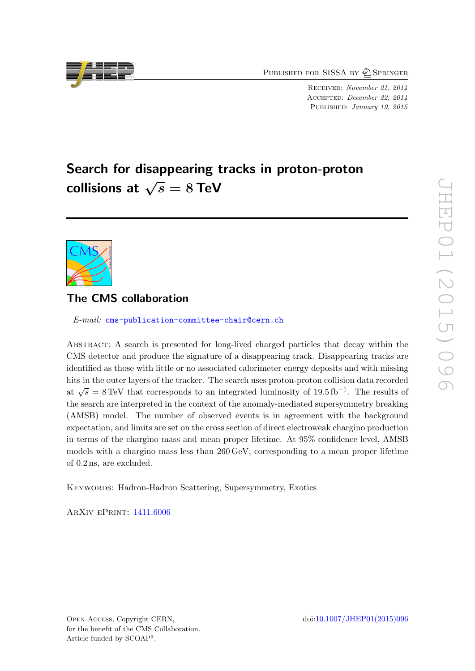PUBLISHED FOR SISSA BY 2 SPRINGER

Received: November 21, 2014 Accepted: December 22, 2014 PUBLISHED: January 19, 2015

# Search for disappearing tracks in proton-proton collisions at  $\sqrt{s} = 8$  TeV



# The CMS collaboration

E-mail: [cms-publication-committee-chair@cern.ch](mailto:cms-publication-committee-chair@cern.ch)

Abstract: A search is presented for long-lived charged particles that decay within the CMS detector and produce the signature of a disappearing track. Disappearing tracks are identified as those with little or no associated calorimeter energy deposits and with missing hits in the outer layers of the tracker. The search uses proton-proton collision data recorded at  $\sqrt{s} = 8 \text{ TeV}$  that corresponds to an integrated luminosity of 19.5 fb<sup>-1</sup>. The results of the search are interpreted in the context of the anomaly-mediated supersymmetry breaking (AMSB) model. The number of observed events is in agreement with the background expectation, and limits are set on the cross section of direct electroweak chargino production in terms of the chargino mass and mean proper lifetime. At 95% confidence level, AMSB models with a chargino mass less than 260 GeV, corresponding to a mean proper lifetime of 0.2 ns, are excluded.

KEYWORDS: Hadron-Hadron Scattering, Supersymmetry, Exotics

ArXiv ePrint: [1411.6006](http://arxiv.org/abs/1411.6006)



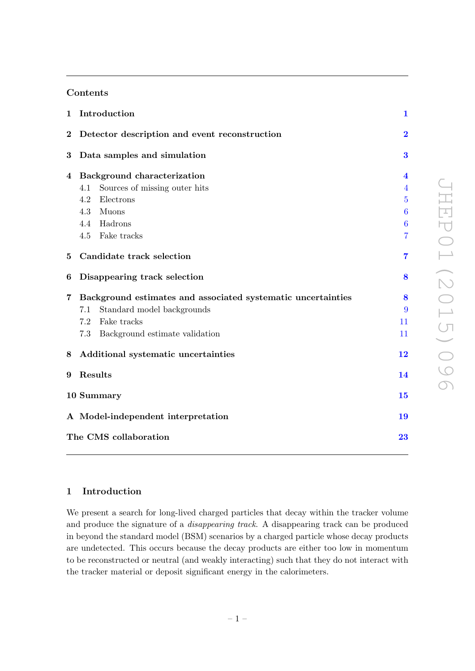# Contents

| $\mathbf 1$    | Introduction<br>Detector description and event reconstruction |                         |
|----------------|---------------------------------------------------------------|-------------------------|
| $\bf{2}$       |                                                               |                         |
| 3              | Data samples and simulation                                   | 3                       |
| 4              | Background characterization                                   | $\overline{\mathbf{4}}$ |
|                | Sources of missing outer hits<br>4.1                          | $\overline{4}$          |
|                | 4.2<br>Electrons                                              | $\overline{5}$          |
|                | 4.3<br>Muons                                                  | $\overline{6}$          |
|                | Hadrons<br>4.4                                                | $\boldsymbol{6}$        |
|                | 4.5<br>Fake tracks                                            | 7                       |
| $\bf{5}$       | Candidate track selection                                     | $\overline{7}$          |
| 6              | Disappearing track selection                                  | 8                       |
| $\overline{7}$ | Background estimates and associated systematic uncertainties  | 8                       |
|                | Standard model backgrounds<br>7.1                             | 9                       |
|                | Fake tracks<br>7.2                                            | 11                      |
|                | 7.3<br>Background estimate validation                         | 11                      |
| 8              | Additional systematic uncertainties                           | 12                      |
| 9              | Results                                                       | 14                      |
|                | 10 Summary                                                    | 15                      |
|                | A Model-independent interpretation                            | 19                      |
|                | The CMS collaboration                                         | 23                      |

# JHEP 01 (2015) 0 JHEP01(2015)096  $\circ$

# <span id="page-1-0"></span>1 Introduction

We present a search for long-lived charged particles that decay within the tracker volume and produce the signature of a disappearing track. A disappearing track can be produced in beyond the standard model (BSM) scenarios by a charged particle whose decay products are undetected. This occurs because the decay products are either too low in momentum to be reconstructed or neutral (and weakly interacting) such that they do not interact with the tracker material or deposit significant energy in the calorimeters.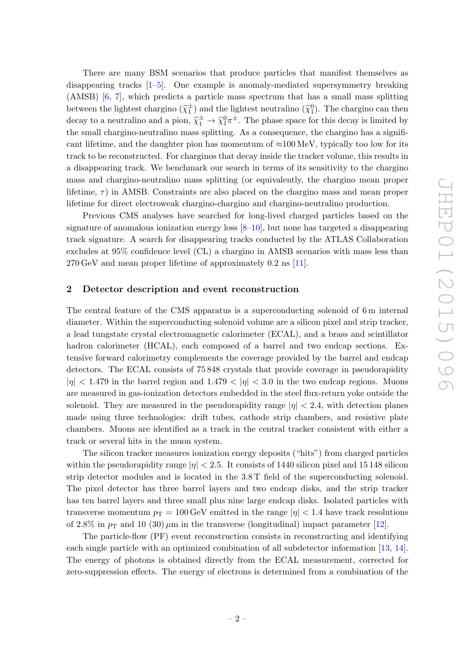There are many BSM scenarios that produce particles that manifest themselves as disappearing tracks  $[1–5]$  $[1–5]$ . One example is anomaly-mediated supersymmetry breaking (AMSB) [\[6,](#page-20-2) [7\]](#page-20-3), which predicts a particle mass spectrum that has a small mass splitting between the lightest chargino  $(\tilde{\chi}_1^{\pm})$  and the lightest neutralino  $(\tilde{\chi}_1^0)$ . The chargino can then decay to a neutralino and a pion,  $\tilde{\chi}_1^{\pm} \to \tilde{\chi}_1^0 \pi^{\pm}$ . The phase space for this decay is limited by the small chargino-neutralino mass splitting. As a consequence, the chargino has a significant lifetime, and the daughter pion has momentum of  $\approx 100 \,\text{MeV}$ , typically too low for its track to be reconstructed. For charginos that decay inside the tracker volume, this results in a disappearing track. We benchmark our search in terms of its sensitivity to the chargino mass and chargino-neutralino mass splitting (or equivalently, the chargino mean proper lifetime,  $\tau$ ) in AMSB. Constraints are also placed on the chargino mass and mean proper lifetime for direct electroweak chargino-chargino and chargino-neutralino production.

Previous CMS analyses have searched for long-lived charged particles based on the signature of anomalous ionization energy loss [\[8–](#page-20-4)[10\]](#page-20-5), but none has targeted a disappearing track signature. A search for disappearing tracks conducted by the ATLAS Collaboration excludes at 95% confidence level (CL) a chargino in AMSB scenarios with mass less than 270 GeV and mean proper lifetime of approximately 0.2 ns [\[11\]](#page-20-6).

### <span id="page-2-0"></span>2 Detector description and event reconstruction

The central feature of the CMS apparatus is a superconducting solenoid of 6 m internal diameter. Within the superconducting solenoid volume are a silicon pixel and strip tracker, a lead tungstate crystal electromagnetic calorimeter (ECAL), and a brass and scintillator hadron calorimeter (HCAL), each composed of a barrel and two endcap sections. Extensive forward calorimetry complements the coverage provided by the barrel and endcap detectors. The ECAL consists of 75 848 crystals that provide coverage in pseudorapidity  $|\eta|$  < 1.479 in the barrel region and 1.479 <  $|\eta|$  < 3.0 in the two endcap regions. Muons are measured in gas-ionization detectors embedded in the steel flux-return yoke outside the solenoid. They are measured in the pseudorapidity range  $|\eta| < 2.4$ , with detection planes made using three technologies: drift tubes, cathode strip chambers, and resistive plate chambers. Muons are identified as a track in the central tracker consistent with either a track or several hits in the muon system.

The silicon tracker measures ionization energy deposits ("hits") from charged particles within the pseudorapidity range  $|\eta| < 2.5$ . It consists of 1440 silicon pixel and 15 148 silicon strip detector modules and is located in the 3.8 T field of the superconducting solenoid. The pixel detector has three barrel layers and two endcap disks, and the strip tracker has ten barrel layers and three small plus nine large endcap disks. Isolated particles with transverse momentum  $p_T = 100 \,\text{GeV}$  emitted in the range  $|\eta| < 1.4$  have track resolutions of 2.8% in  $p_{\rm T}$  and 10 (30)  $\mu$ m in the transverse (longitudinal) impact parameter [\[12\]](#page-21-0).

The particle-flow (PF) event reconstruction consists in reconstructing and identifying each single particle with an optimized combination of all subdetector information [\[13,](#page-21-1) [14\]](#page-21-2). The energy of photons is obtained directly from the ECAL measurement, corrected for zero-suppression effects. The energy of electrons is determined from a combination of the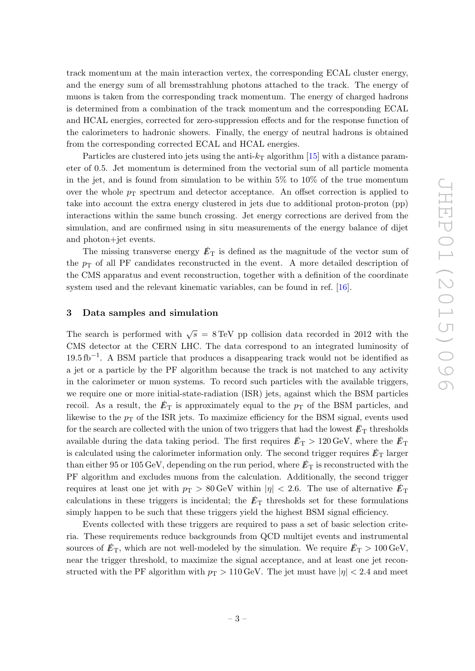track momentum at the main interaction vertex, the corresponding ECAL cluster energy, and the energy sum of all bremsstrahlung photons attached to the track. The energy of muons is taken from the corresponding track momentum. The energy of charged hadrons is determined from a combination of the track momentum and the corresponding ECAL and HCAL energies, corrected for zero-suppression effects and for the response function of the calorimeters to hadronic showers. Finally, the energy of neutral hadrons is obtained from the corresponding corrected ECAL and HCAL energies.

Particles are clustered into jets using the anti- $k_T$  algorithm [\[15\]](#page-21-3) with a distance parameter of 0.5. Jet momentum is determined from the vectorial sum of all particle momenta in the jet, and is found from simulation to be within 5% to 10% of the true momentum over the whole  $p_T$  spectrum and detector acceptance. An offset correction is applied to take into account the extra energy clustered in jets due to additional proton-proton (pp) interactions within the same bunch crossing. Jet energy corrections are derived from the simulation, and are confirmed using in situ measurements of the energy balance of dijet and photon+jet events.

The missing transverse energy  $E_T$  is defined as the magnitude of the vector sum of the  $p_T$  of all PF candidates reconstructed in the event. A more detailed description of the CMS apparatus and event reconstruction, together with a definition of the coordinate system used and the relevant kinematic variables, can be found in ref. [\[16\]](#page-21-4).

### <span id="page-3-0"></span>3 Data samples and simulation

The search is performed with  $\sqrt{s} = 8 \,\text{TeV}$  pp collision data recorded in 2012 with the CMS detector at the CERN LHC. The data correspond to an integrated luminosity of  $19.5 \text{ fb}^{-1}$ . A BSM particle that produces a disappearing track would not be identified as a jet or a particle by the PF algorithm because the track is not matched to any activity in the calorimeter or muon systems. To record such particles with the available triggers, we require one or more initial-state-radiation (ISR) jets, against which the BSM particles recoil. As a result, the  $E_T$  is approximately equal to the  $p_T$  of the BSM particles, and likewise to the  $p_{\rm T}$  of the ISR jets. To maximize efficiency for the BSM signal, events used for the search are collected with the union of two triggers that had the lowest  $E_T$  thresholds available during the data taking period. The first requires  $E_T > 120 \,\text{GeV}$ , where the  $E_T$ is calculated using the calorimeter information only. The second trigger requires  $E_T$  larger than either 95 or 105 GeV, depending on the run period, where  $E_T$  is reconstructed with the PF algorithm and excludes muons from the calculation. Additionally, the second trigger requires at least one jet with  $p_T > 80 \,\text{GeV}$  within  $|\eta| < 2.6$ . The use of alternative  $E_T$ calculations in these triggers is incidental; the  $E_T$  thresholds set for these formulations simply happen to be such that these triggers yield the highest BSM signal efficiency.

Events collected with these triggers are required to pass a set of basic selection criteria. These requirements reduce backgrounds from QCD multijet events and instrumental sources of  $E_T$ , which are not well-modeled by the simulation. We require  $E_T > 100 \,\text{GeV}$ , near the trigger threshold, to maximize the signal acceptance, and at least one jet reconstructed with the PF algorithm with  $p_T > 110 \,\text{GeV}$ . The jet must have  $|\eta| < 2.4$  and meet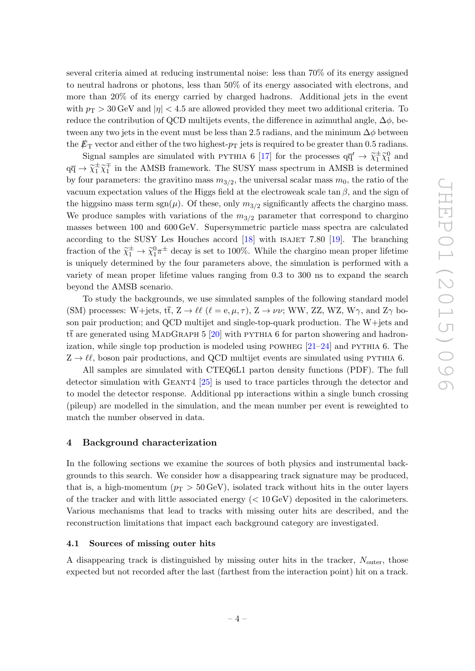several criteria aimed at reducing instrumental noise: less than 70% of its energy assigned to neutral hadrons or photons, less than 50% of its energy associated with electrons, and more than 20% of its energy carried by charged hadrons. Additional jets in the event with  $p_T > 30$  GeV and  $|\eta| < 4.5$  are allowed provided they meet two additional criteria. To reduce the contribution of QCD multijets events, the difference in azimuthal angle,  $\Delta \phi$ , between any two jets in the event must be less than 2.5 radians, and the minimum  $\Delta \phi$  between the  $\not{E}_{\rm T}$  vector and either of the two highest- $p_{\rm T}$  jets is required to be greater than 0.5 radians.

Signal samples are simulated with PYTHIA 6 [\[17\]](#page-21-5) for the processes  $q\overline{q}' \rightarrow \tilde{\chi}_1^{\pm} \tilde{\chi}_1^0$  and  $q\bar{q} \to \tilde{\chi}_1^{\pm} \tilde{\chi}_1^{\mp}$  in the AMSB framework. The SUSY mass spectrum in AMSB is determined by four parameters: the gravitino mass  $m_{3/2}$ , the universal scalar mass  $m_0$ , the ratio of the vacuum expectation values of the Higgs field at the electroweak scale tan  $\beta$ , and the sign of the higgsino mass term  $sgn(\mu)$ . Of these, only  $m_{3/2}$  significantly affects the chargino mass. We produce samples with variations of the  $m_{3/2}$  parameter that correspond to chargino masses between 100 and 600 GeV. Supersymmetric particle mass spectra are calculated according to the SUSY Les Houches accord [\[18\]](#page-21-6) with isajet 7.80 [\[19\]](#page-21-7). The branching fraction of the  $\tilde{\chi}_1^{\pm} \to \tilde{\chi}_1^0 \pi^{\pm}$  decay is set to 100%. While the chargino mean proper lifetime is uniquely determined by the four parameters above, the simulation is performed with a variety of mean proper lifetime values ranging from 0.3 to 300 ns to expand the search beyond the AMSB scenario.

To study the backgrounds, we use simulated samples of the following standard model (SM) processes: W+jets,  $t\bar{t}$ ,  $Z \to \ell\ell$  ( $\ell = e, \mu, \tau$ ),  $Z \to \nu\nu$ ; WW, ZZ, WZ, W $\gamma$ , and  $Z\gamma$  boson pair production; and QCD multijet and single-top-quark production. The W+jets and  $t\bar{t}$  are generated using MADGRAPH 5 [\[20\]](#page-21-8) with PYTHIA 6 for parton showering and hadronization, while single top production is modeled using POWHEG  $[21-24]$  $[21-24]$  and PYTHIA 6. The  $Z \rightarrow \ell \ell$ , boson pair productions, and QCD multijet events are simulated using PYTHIA 6.

All samples are simulated with CTEQ6L1 parton density functions (PDF). The full detector simulation with GEANT4  $[25]$  is used to trace particles through the detector and to model the detector response. Additional pp interactions within a single bunch crossing (pileup) are modelled in the simulation, and the mean number per event is reweighted to match the number observed in data.

### <span id="page-4-0"></span>4 Background characterization

In the following sections we examine the sources of both physics and instrumental backgrounds to this search. We consider how a disappearing track signature may be produced, that is, a high-momentum  $(p_T > 50 \,\text{GeV})$ , isolated track without hits in the outer layers of the tracker and with little associated energy  $(< 10 \,\text{GeV})$  deposited in the calorimeters. Various mechanisms that lead to tracks with missing outer hits are described, and the reconstruction limitations that impact each background category are investigated.

### <span id="page-4-1"></span>4.1 Sources of missing outer hits

A disappearing track is distinguished by missing outer hits in the tracker,  $N_{\text{outer}}$ , those expected but not recorded after the last (farthest from the interaction point) hit on a track.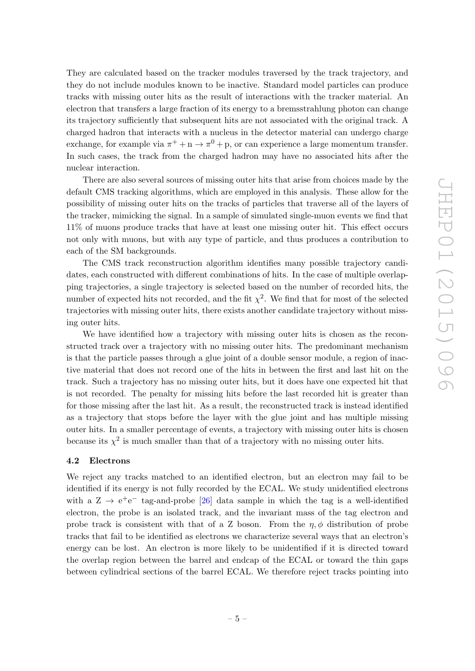They are calculated based on the tracker modules traversed by the track trajectory, and they do not include modules known to be inactive. Standard model particles can produce tracks with missing outer hits as the result of interactions with the tracker material. An electron that transfers a large fraction of its energy to a bremsstrahlung photon can change its trajectory sufficiently that subsequent hits are not associated with the original track. A charged hadron that interacts with a nucleus in the detector material can undergo charge exchange, for example via  $\pi^+ + n \to \pi^0 + p$ , or can experience a large momentum transfer. In such cases, the track from the charged hadron may have no associated hits after the nuclear interaction.

There are also several sources of missing outer hits that arise from choices made by the default CMS tracking algorithms, which are employed in this analysis. These allow for the possibility of missing outer hits on the tracks of particles that traverse all of the layers of the tracker, mimicking the signal. In a sample of simulated single-muon events we find that 11% of muons produce tracks that have at least one missing outer hit. This effect occurs not only with muons, but with any type of particle, and thus produces a contribution to each of the SM backgrounds.

The CMS track reconstruction algorithm identifies many possible trajectory candidates, each constructed with different combinations of hits. In the case of multiple overlapping trajectories, a single trajectory is selected based on the number of recorded hits, the number of expected hits not recorded, and the fit  $\chi^2$ . We find that for most of the selected trajectories with missing outer hits, there exists another candidate trajectory without missing outer hits.

We have identified how a trajectory with missing outer hits is chosen as the reconstructed track over a trajectory with no missing outer hits. The predominant mechanism is that the particle passes through a glue joint of a double sensor module, a region of inactive material that does not record one of the hits in between the first and last hit on the track. Such a trajectory has no missing outer hits, but it does have one expected hit that is not recorded. The penalty for missing hits before the last recorded hit is greater than for those missing after the last hit. As a result, the reconstructed track is instead identified as a trajectory that stops before the layer with the glue joint and has multiple missing outer hits. In a smaller percentage of events, a trajectory with missing outer hits is chosen because its  $\chi^2$  is much smaller than that of a trajectory with no missing outer hits.

### <span id="page-5-0"></span>4.2 Electrons

We reject any tracks matched to an identified electron, but an electron may fail to be identified if its energy is not fully recorded by the ECAL. We study unidentified electrons with a  $Z \rightarrow e^+e^-$  tag-and-probe [\[26\]](#page-21-12) data sample in which the tag is a well-identified electron, the probe is an isolated track, and the invariant mass of the tag electron and probe track is consistent with that of a Z boson. From the  $\eta$ ,  $\phi$  distribution of probe tracks that fail to be identified as electrons we characterize several ways that an electron's energy can be lost. An electron is more likely to be unidentified if it is directed toward the overlap region between the barrel and endcap of the ECAL or toward the thin gaps between cylindrical sections of the barrel ECAL. We therefore reject tracks pointing into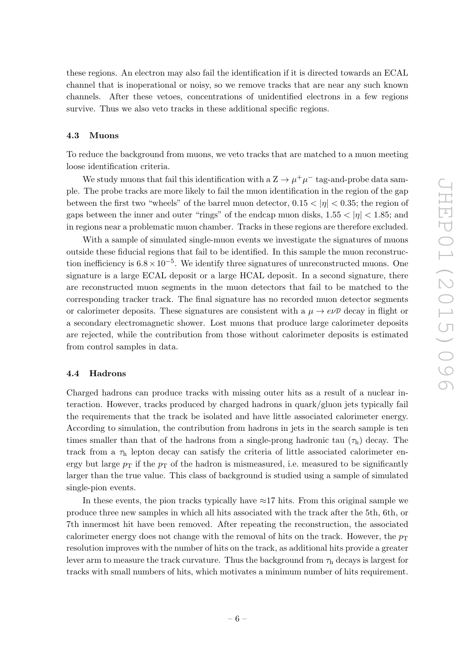these regions. An electron may also fail the identification if it is directed towards an ECAL channel that is inoperational or noisy, so we remove tracks that are near any such known channels. After these vetoes, concentrations of unidentified electrons in a few regions survive. Thus we also veto tracks in these additional specific regions.

### <span id="page-6-0"></span>4.3 Muons

To reduce the background from muons, we veto tracks that are matched to a muon meeting loose identification criteria.

We study muons that fail this identification with a  $Z \to \mu^+ \mu^-$  tag-and-probe data sample. The probe tracks are more likely to fail the muon identification in the region of the gap between the first two "wheels" of the barrel muon detector,  $0.15 < |\eta| < 0.35$ ; the region of gaps between the inner and outer "rings" of the endcap muon disks,  $1.55 < |\eta| < 1.85$ ; and in regions near a problematic muon chamber. Tracks in these regions are therefore excluded.

With a sample of simulated single-muon events we investigate the signatures of muons outside these fiducial regions that fail to be identified. In this sample the muon reconstruction inefficiency is  $6.8 \times 10^{-5}$ . We identify three signatures of unreconstructed muons. One signature is a large ECAL deposit or a large HCAL deposit. In a second signature, there are reconstructed muon segments in the muon detectors that fail to be matched to the corresponding tracker track. The final signature has no recorded muon detector segments or calorimeter deposits. These signatures are consistent with a  $\mu \to e \nu \overline{\nu}$  decay in flight or a secondary electromagnetic shower. Lost muons that produce large calorimeter deposits are rejected, while the contribution from those without calorimeter deposits is estimated from control samples in data.

### <span id="page-6-1"></span>4.4 Hadrons

Charged hadrons can produce tracks with missing outer hits as a result of a nuclear interaction. However, tracks produced by charged hadrons in quark/gluon jets typically fail the requirements that the track be isolated and have little associated calorimeter energy. According to simulation, the contribution from hadrons in jets in the search sample is ten times smaller than that of the hadrons from a single-prong hadronic tau  $(\tau_h)$  decay. The track from a  $\tau_h$  lepton decay can satisfy the criteria of little associated calorimeter energy but large  $p_T$  if the  $p_T$  of the hadron is mismeasured, i.e. measured to be significantly larger than the true value. This class of background is studied using a sample of simulated single-pion events.

In these events, the pion tracks typically have  $\approx$ 17 hits. From this original sample we produce three new samples in which all hits associated with the track after the 5th, 6th, or 7th innermost hit have been removed. After repeating the reconstruction, the associated calorimeter energy does not change with the removal of hits on the track. However, the  $p_T$ resolution improves with the number of hits on the track, as additional hits provide a greater lever arm to measure the track curvature. Thus the background from  $\tau_h$  decays is largest for tracks with small numbers of hits, which motivates a minimum number of hits requirement.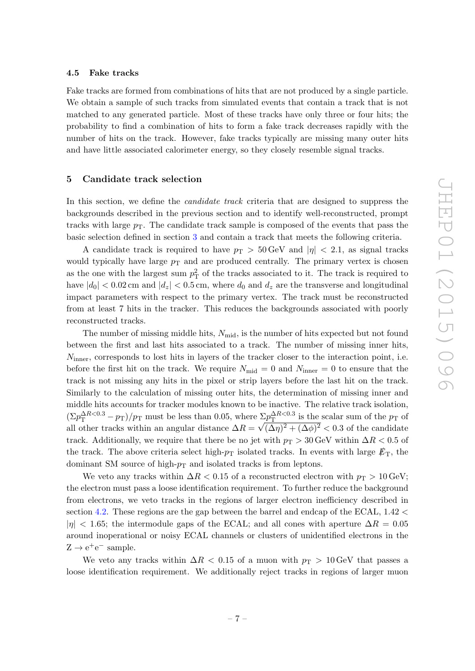### <span id="page-7-0"></span>4.5 Fake tracks

Fake tracks are formed from combinations of hits that are not produced by a single particle. We obtain a sample of such tracks from simulated events that contain a track that is not matched to any generated particle. Most of these tracks have only three or four hits; the probability to find a combination of hits to form a fake track decreases rapidly with the number of hits on the track. However, fake tracks typically are missing many outer hits and have little associated calorimeter energy, so they closely resemble signal tracks.

### <span id="page-7-1"></span>5 Candidate track selection

In this section, we define the *candidate track* criteria that are designed to suppress the backgrounds described in the previous section and to identify well-reconstructed, prompt tracks with large  $p<sub>T</sub>$ . The candidate track sample is composed of the events that pass the basic selection defined in section [3](#page-3-0) and contain a track that meets the following criteria.

A candidate track is required to have  $p_T > 50 \,\text{GeV}$  and  $|\eta| < 2.1$ , as signal tracks would typically have large  $p_T$  and are produced centrally. The primary vertex is chosen as the one with the largest sum  $p_T^2$  of the tracks associated to it. The track is required to have  $|d_0| < 0.02$  cm and  $|d_z| < 0.5$  cm, where  $d_0$  and  $d_z$  are the transverse and longitudinal impact parameters with respect to the primary vertex. The track must be reconstructed from at least 7 hits in the tracker. This reduces the backgrounds associated with poorly reconstructed tracks.

The number of missing middle hits,  $N_{mid}$ , is the number of hits expected but not found between the first and last hits associated to a track. The number of missing inner hits,  $N_{\rm inner}$ , corresponds to lost hits in layers of the tracker closer to the interaction point, i.e. before the first hit on the track. We require  $N_{\text{mid}} = 0$  and  $N_{\text{inner}} = 0$  to ensure that the track is not missing any hits in the pixel or strip layers before the last hit on the track. Similarly to the calculation of missing outer hits, the determination of missing inner and middle hits accounts for tracker modules known to be inactive. The relative track isolation,  $(\Sigma p_{\rm T}^{\Delta R<0.3} - p_{\rm T})/p_{\rm T}$  must be less than 0.05, where  $\Sigma p_{\rm T}^{\Delta R<0.3}$  is the scalar sum of the  $p_{\rm T}$  of all other tracks within an angular distance  $\Delta R = \sqrt{(\Delta \eta)^2 + (\Delta \phi)^2} < 0.3$  of the candidate track. Additionally, we require that there be no jet with  $p_T > 30$  GeV within  $\Delta R < 0.5$  of the track. The above criteria select high- $p_T$  isolated tracks. In events with large  $\mathbb{E}_T$ , the dominant SM source of high- $p<sub>T</sub>$  and isolated tracks is from leptons.

We veto any tracks within  $\Delta R < 0.15$  of a reconstructed electron with  $p_T > 10$  GeV; the electron must pass a loose identification requirement. To further reduce the background from electrons, we veto tracks in the regions of larger electron inefficiency described in section [4.2.](#page-5-0) These regions are the gap between the barrel and endcap of the ECAL,  $1.42 <$  $|\eta|$  < 1.65; the intermodule gaps of the ECAL; and all cones with aperture  $\Delta R = 0.05$ around inoperational or noisy ECAL channels or clusters of unidentified electrons in the  $Z \rightarrow e^+e^-$  sample.

We veto any tracks within  $\Delta R$  < 0.15 of a muon with  $p_T > 10 \,\mathrm{GeV}$  that passes a loose identification requirement. We additionally reject tracks in regions of larger muon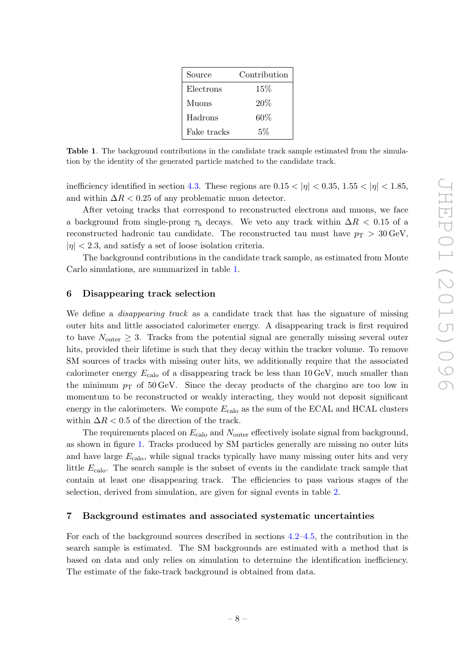| Source      | Contribution |
|-------------|--------------|
| Electrons   | 15%          |
| Muons       | 20%          |
| Hadrons     | 60%          |
| Fake tracks | 5%           |

<span id="page-8-2"></span>Table 1. The background contributions in the candidate track sample estimated from the simulation by the identity of the generated particle matched to the candidate track.

inefficiency identified in section [4.3.](#page-6-0) These regions are  $0.15 < |\eta| < 0.35$ ,  $1.55 < |\eta| < 1.85$ , and within  $\Delta R < 0.25$  of any problematic muon detector.

After vetoing tracks that correspond to reconstructed electrons and muons, we face a background from single-prong  $\tau_h$  decays. We veto any track within  $\Delta R$  < 0.15 of a reconstructed hadronic tau candidate. The reconstructed tau must have  $p_T > 30 \,\text{GeV}$ ,  $|\eta|$  < 2.3, and satisfy a set of loose isolation criteria.

The background contributions in the candidate track sample, as estimated from Monte Carlo simulations, are summarized in table [1.](#page-8-2)

### <span id="page-8-0"></span>6 Disappearing track selection

We define a *disappearing track* as a candidate track that has the signature of missing outer hits and little associated calorimeter energy. A disappearing track is first required to have  $N_{\text{outer}} \geq 3$ . Tracks from the potential signal are generally missing several outer hits, provided their lifetime is such that they decay within the tracker volume. To remove SM sources of tracks with missing outer hits, we additionally require that the associated calorimeter energy  $E_{\text{calo}}$  of a disappearing track be less than 10 GeV, much smaller than the minimum  $p<sub>T</sub>$  of 50 GeV. Since the decay products of the chargino are too low in momentum to be reconstructed or weakly interacting, they would not deposit significant energy in the calorimeters. We compute  $E_{\text{calo}}$  as the sum of the ECAL and HCAL clusters within  $\Delta R$  < 0.5 of the direction of the track.

The requirements placed on  $E_{\text{calo}}$  and  $N_{\text{outer}}$  effectively isolate signal from background, as shown in figure [1.](#page-9-1) Tracks produced by SM particles generally are missing no outer hits and have large  $E_{\text{calo}}$ , while signal tracks typically have many missing outer hits and very little  $E_{\text{calo}}$ . The search sample is the subset of events in the candidate track sample that contain at least one disappearing track. The efficiencies to pass various stages of the selection, derived from simulation, are given for signal events in table [2.](#page-9-2)

### <span id="page-8-1"></span>7 Background estimates and associated systematic uncertainties

For each of the background sources described in sections [4.2–](#page-5-0)[4.5,](#page-7-0) the contribution in the search sample is estimated. The SM backgrounds are estimated with a method that is based on data and only relies on simulation to determine the identification inefficiency. The estimate of the fake-track background is obtained from data.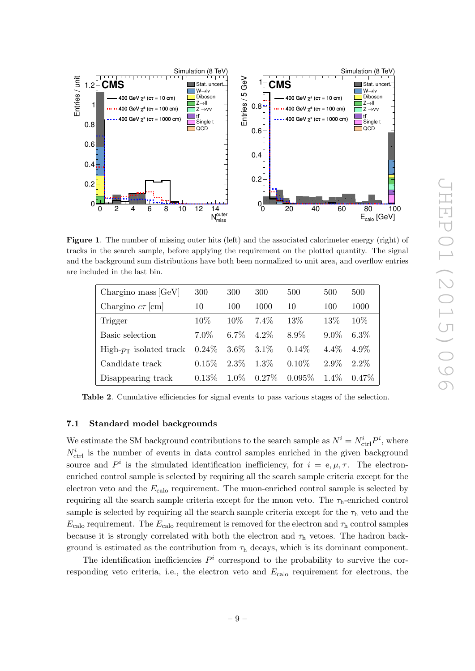

<span id="page-9-1"></span>Figure 1. The number of missing outer hits (left) and the associated calorimeter energy (right) of tracks in the search sample, before applying the requirement on the plotted quantity. The signal and the background sum distributions have both been normalized to unit area, and overflow entries are included in the last bin.

| Chargino mass $[GeV]$    | 300      | 300     | 300      | 500       | 500     | 500      |
|--------------------------|----------|---------|----------|-----------|---------|----------|
| Chargino $c\tau$ [cm]    | 10       | 100     | 1000     | 10        | 100     | 1000     |
| Trigger                  | $10\%$   | $10\%$  | $7.4\%$  | 13\%      | 13%     | $10\%$   |
| Basic selection          | $7.0\%$  | 6.7\%   | $4.2\%$  | 8.9%      | $9.0\%$ | $6.3\%$  |
| $High-pT$ isolated track | $0.24\%$ | $3.6\%$ | $3.1\%$  | $0.14\%$  | $4.4\%$ | 4.9%     |
| Candidate track          | $0.15\%$ | $2.3\%$ | $1.3\%$  | $0.10\%$  | $2.9\%$ | $2.2\%$  |
| Disappearing track       | $0.13\%$ | $1.0\%$ | $0.27\%$ | $0.095\%$ | $1.4\%$ | $0.47\%$ |

<span id="page-9-2"></span>Table 2. Cumulative efficiencies for signal events to pass various stages of the selection.

### <span id="page-9-0"></span>7.1 Standard model backgrounds

We estimate the SM background contributions to the search sample as  $N^i = N_{\text{ctrl}}^i P^i$ , where  $N_{\text{ctrl}}^i$  is the number of events in data control samples enriched in the given background source and  $P^i$  is the simulated identification inefficiency, for  $i = e, \mu, \tau$ . The electronenriched control sample is selected by requiring all the search sample criteria except for the electron veto and the  $E_{\text{calo}}$  requirement. The muon-enriched control sample is selected by requiring all the search sample criteria except for the muon veto. The  $\tau_h$ -enriched control sample is selected by requiring all the search sample criteria except for the  $\tau_h$  veto and the  $E_{\text{calo}}$  requirement. The  $E_{\text{calo}}$  requirement is removed for the electron and  $\tau_{\text{h}}$  control samples because it is strongly correlated with both the electron and  $\tau_h$  vetoes. The hadron background is estimated as the contribution from  $\tau_h$  decays, which is its dominant component.

The identification inefficiencies  $P^i$  correspond to the probability to survive the corresponding veto criteria, i.e., the electron veto and  $E_{\text{calo}}$  requirement for electrons, the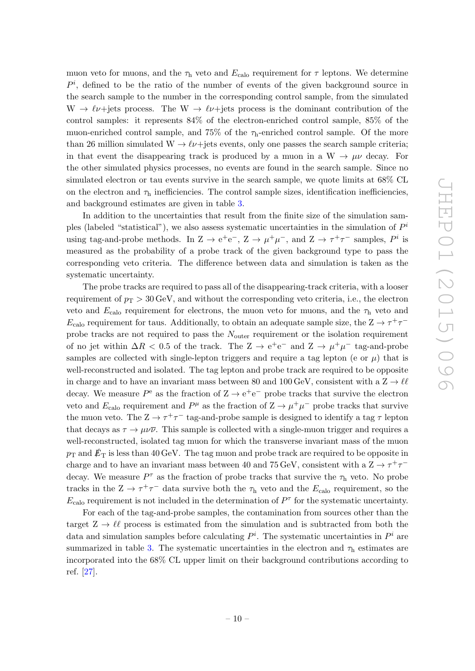muon veto for muons, and the  $\tau_h$  veto and  $E_{\text{calo}}$  requirement for  $\tau$  leptons. We determine  $P<sup>i</sup>$ , defined to be the ratio of the number of events of the given background source in the search sample to the number in the corresponding control sample, from the simulated  $W \to \ell \nu + \text{jets}$  process. The  $W \to \ell \nu + \text{jets}$  process is the dominant contribution of the control samples: it represents 84% of the electron-enriched control sample, 85% of the muon-enriched control sample, and 75% of the  $\tau_h$ -enriched control sample. Of the more than 26 million simulated  $W \to \ell \nu +$ jets events, only one passes the search sample criteria; in that event the disappearing track is produced by a muon in a W  $\rightarrow \mu\nu$  decay. For the other simulated physics processes, no events are found in the search sample. Since no simulated electron or tau events survive in the search sample, we quote limits at 68% CL on the electron and  $\tau_h$  inefficiencies. The control sample sizes, identification inefficiencies, and background estimates are given in table [3.](#page-11-2)

In addition to the uncertainties that result from the finite size of the simulation samples (labeled "statistical"), we also assess systematic uncertainties in the simulation of  $P^i$ using tag-and-probe methods. In  $Z \to e^+e^-$ ,  $Z \to \mu^+\mu^-$ , and  $Z \to \tau^+\tau^-$  samples,  $P^i$  is measured as the probability of a probe track of the given background type to pass the corresponding veto criteria. The difference between data and simulation is taken as the systematic uncertainty.

The probe tracks are required to pass all of the disappearing-track criteria, with a looser requirement of  $p_T > 30$  GeV, and without the corresponding veto criteria, i.e., the electron veto and  $E_{\text{calo}}$  requirement for electrons, the muon veto for muons, and the  $\tau_{\text{h}}$  veto and  $E_{\rm calo}$  requirement for taus. Additionally, to obtain an adequate sample size, the  $Z \to \tau^+ \tau^$ probe tracks are not required to pass the  $N_{\text{outer}}$  requirement or the isolation requirement of no jet within  $\Delta R$  < 0.5 of the track. The Z  $\rightarrow e^+e^-$  and Z  $\rightarrow \mu^+\mu^-$  tag-and-probe samples are collected with single-lepton triggers and require a tag lepton (e or  $\mu$ ) that is well-reconstructed and isolated. The tag lepton and probe track are required to be opposite in charge and to have an invariant mass between 80 and 100 GeV, consistent with a  $Z \rightarrow \ell \ell$ decay. We measure  $P^e$  as the fraction of  $Z \to e^+e^-$  probe tracks that survive the electron veto and  $E_{\text{calo}}$  requirement and  $P^{\mu}$  as the fraction of  $Z \to \mu^+ \mu^-$  probe tracks that survive the muon veto. The  $Z \to \tau^+\tau^-$  tag-and-probe sample is designed to identify a tag  $\tau$  lepton that decays as  $\tau \to \mu \nu \bar{\nu}$ . This sample is collected with a single-muon trigger and requires a well-reconstructed, isolated tag muon for which the transverse invariant mass of the muon  $p_{\rm T}$  and  $\not\!\!E_{\rm T}$  is less than 40 GeV. The tag muon and probe track are required to be opposite in charge and to have an invariant mass between 40 and 75 GeV, consistent with a  $Z \rightarrow \tau^+\tau^$ decay. We measure  $P^{\tau}$  as the fraction of probe tracks that survive the  $\tau_{h}$  veto. No probe tracks in the  $Z \to \tau^+\tau^-$  data survive both the  $\tau_h$  veto and the  $E_{\text{calo}}$  requirement, so the  $E_{\text{calo}}$  requirement is not included in the determination of  $P^{\tau}$  for the systematic uncertainty.

For each of the tag-and-probe samples, the contamination from sources other than the target  $Z \to \ell \ell$  process is estimated from the simulation and is subtracted from both the data and simulation samples before calculating  $P^i$ . The systematic uncertainties in  $P^i$  are summarized in table [3.](#page-11-2) The systematic uncertainties in the electron and  $\tau_{h}$  estimates are incorporated into the 68% CL upper limit on their background contributions according to ref. [\[27\]](#page-21-13).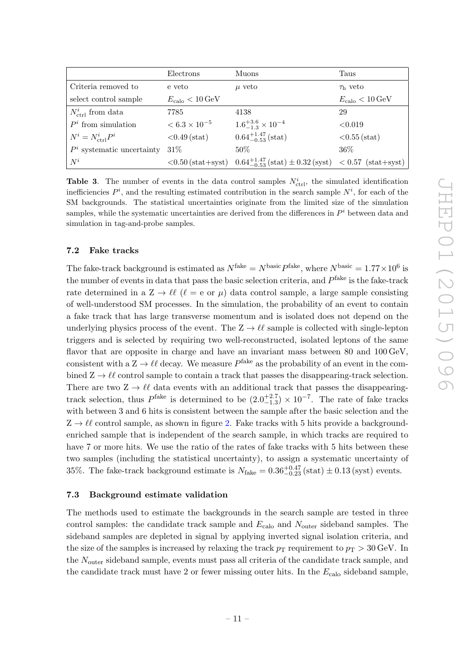|                               | Electrons                          | Muons                                                                                                                                   | Taus                               |
|-------------------------------|------------------------------------|-----------------------------------------------------------------------------------------------------------------------------------------|------------------------------------|
| Criteria removed to           | e veto                             | $\mu$ veto                                                                                                                              | $\tau_{\rm h}$ veto                |
| select control sample         | $E_{\rm calo} < 10 \,\mathrm{GeV}$ |                                                                                                                                         | $E_{\rm calo} < 10 \,\mathrm{GeV}$ |
| $N_{\text{ctrl}}^i$ from data | 7785                               | 4138                                                                                                                                    | 29                                 |
| $Pi$ from simulation          | $< 6.3 \times 10^{-5}$             | $1.6^{+3.6}_{-1.3}\times10^{-4}$                                                                                                        | < 0.019                            |
| $N^i = N_{\rm ctrl}^i P^i$    | $< 0.49$ (stat)                    | $0.64^{+1.47}_{-0.53}$ (stat)                                                                                                           | $< 0.55$ (stat)                    |
| $Pi$ systematic uncertainty   | $31\%$                             | $50\%$                                                                                                                                  | $36\%$                             |
| $N^i$                         |                                    | $\langle 0.50 \, (\text{stat+syst}) \, 0.64^{+1.47}_{-0.53} \, (\text{stat}) \pm 0.32 \, (\text{syst}) \, < 0.57 \, (\text{stat+syst})$ |                                    |

<span id="page-11-2"></span>**Table 3.** The number of events in the data control samples  $N_{\text{ctrl}}^i$ , the simulated identification inefficiencies  $P^i$ , and the resulting estimated contribution in the search sample  $N^i$ , for each of the SM backgrounds. The statistical uncertainties originate from the limited size of the simulation samples, while the systematic uncertainties are derived from the differences in  $P<sup>i</sup>$  between data and simulation in tag-and-probe samples.

### <span id="page-11-0"></span>7.2 Fake tracks

The fake-track background is estimated as  $N^{\text{fake}} = N^{\text{basic}} P^{\text{fake}}$ , where  $N^{\text{basic}} = 1.77 \times 10^6$  is the number of events in data that pass the basic selection criteria, and  $P^{\text{fake}}$  is the fake-track rate determined in a  $Z \to \ell \ell$  ( $\ell = e$  or  $\mu$ ) data control sample, a large sample consisting of well-understood SM processes. In the simulation, the probability of an event to contain a fake track that has large transverse momentum and is isolated does not depend on the underlying physics process of the event. The  $Z \rightarrow \ell \ell$  sample is collected with single-lepton triggers and is selected by requiring two well-reconstructed, isolated leptons of the same flavor that are opposite in charge and have an invariant mass between 80 and 100 GeV, consistent with a  $Z \to \ell \ell$  decay. We measure  $P^{\text{fake}}$  as the probability of an event in the combined  $Z \to \ell \ell$  control sample to contain a track that passes the disappearing-track selection. There are two  $Z \to \ell \ell$  data events with an additional track that passes the disappearingtrack selection, thus  $P^{\text{fake}}$  is determined to be  $(2.0^{+2.7}_{-1.3}) \times 10^{-7}$ . The rate of fake tracks with between 3 and 6 hits is consistent between the sample after the basic selection and the  $Z \rightarrow \ell \ell$  control sample, as shown in figure [2.](#page-12-1) Fake tracks with 5 hits provide a backgroundenriched sample that is independent of the search sample, in which tracks are required to have 7 or more hits. We use the ratio of the rates of fake tracks with 5 hits between these two samples (including the statistical uncertainty), to assign a systematic uncertainty of 35%. The fake-track background estimate is  $N_{\text{fake}} = 0.36_{-0.23}^{+0.47} \text{(stat)} \pm 0.13 \text{(syst)}$  events.

### <span id="page-11-1"></span>7.3 Background estimate validation

The methods used to estimate the backgrounds in the search sample are tested in three control samples: the candidate track sample and  $E_{\text{calo}}$  and  $N_{\text{outer}}$  sideband samples. The sideband samples are depleted in signal by applying inverted signal isolation criteria, and the size of the samples is increased by relaxing the track  $p_T$  requirement to  $p_T > 30 \,\text{GeV}$ . In the  $N_{\text{outer}}$  sideband sample, events must pass all criteria of the candidate track sample, and the candidate track must have 2 or fewer missing outer hits. In the  $E_{\text{calo}}$  sideband sample,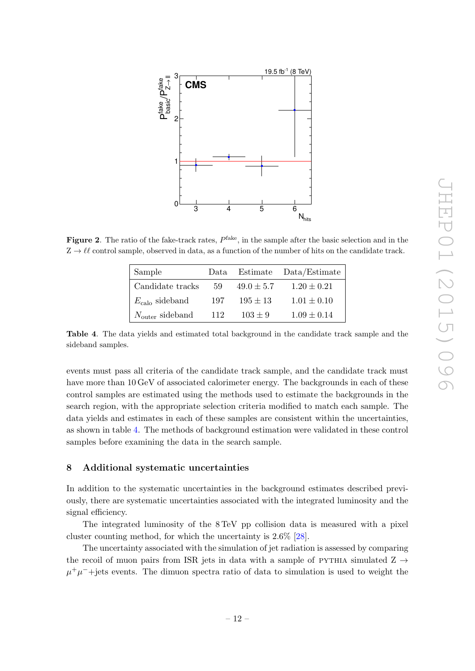

<span id="page-12-1"></span>**Figure 2**. The ratio of the fake-track rates,  $P^{\text{fake}}$ , in the sample after the basic selection and in the  $Z \rightarrow \ell \ell$  control sample, observed in data, as a function of the number of hits on the candidate track.

| Sample                      |      |                | Data Estimate Data/Estimate |
|-----------------------------|------|----------------|-----------------------------|
| Candidate tracks            | 59   | $49.0 \pm 5.7$ | $1.20 \pm 0.21$             |
| $E_{\rm calo}$ sideband     | 197  | $195 \pm 13$   | $1.01 \pm 0.10$             |
| $N_{\text{outer}}$ sideband | -112 | $103 \pm 9$    | $1.09 \pm 0.14$             |

<span id="page-12-2"></span>Table 4. The data yields and estimated total background in the candidate track sample and the sideband samples.

events must pass all criteria of the candidate track sample, and the candidate track must have more than 10 GeV of associated calorimeter energy. The backgrounds in each of these control samples are estimated using the methods used to estimate the backgrounds in the search region, with the appropriate selection criteria modified to match each sample. The data yields and estimates in each of these samples are consistent within the uncertainties, as shown in table [4.](#page-12-2) The methods of background estimation were validated in these control samples before examining the data in the search sample.

### <span id="page-12-0"></span>8 Additional systematic uncertainties

In addition to the systematic uncertainties in the background estimates described previously, there are systematic uncertainties associated with the integrated luminosity and the signal efficiency.

The integrated luminosity of the 8 TeV pp collision data is measured with a pixel cluster counting method, for which the uncertainty is 2.6% [\[28\]](#page-21-14).

The uncertainty associated with the simulation of jet radiation is assessed by comparing the recoil of muon pairs from ISR jets in data with a sample of PYTHIA simulated  $Z \rightarrow$  $\mu^+\mu^-$ +jets events. The dimuon spectra ratio of data to simulation is used to weight the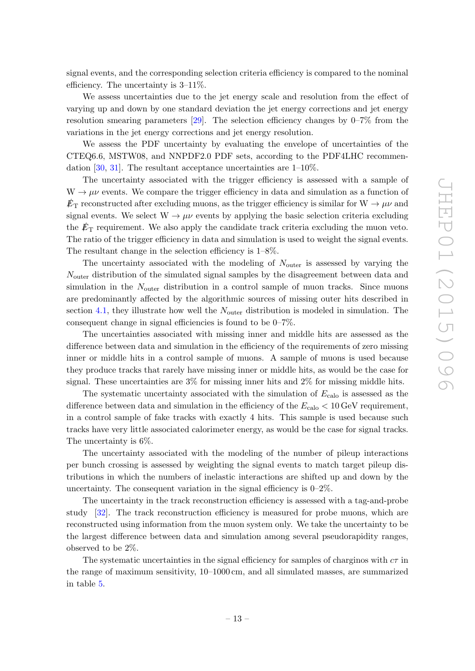signal events, and the corresponding selection criteria efficiency is compared to the nominal efficiency. The uncertainty is 3–11%.

We assess uncertainties due to the jet energy scale and resolution from the effect of varying up and down by one standard deviation the jet energy corrections and jet energy resolution smearing parameters  $[29]$ . The selection efficiency changes by  $0\n-7\%$  from the variations in the jet energy corrections and jet energy resolution.

We assess the PDF uncertainty by evaluating the envelope of uncertainties of the CTEQ6.6, MSTW08, and NNPDF2.0 PDF sets, according to the PDF4LHC recommendation [\[30,](#page-21-16) [31\]](#page-22-0). The resultant acceptance uncertainties are 1–10%.

The uncertainty associated with the trigger efficiency is assessed with a sample of  $W \to \mu\nu$  events. We compare the trigger efficiency in data and simulation as a function of  $E_T$  reconstructed after excluding muons, as the trigger efficiency is similar for  $W \to \mu\nu$  and signal events. We select  $W \to \mu\nu$  events by applying the basic selection criteria excluding the  $E_T$  requirement. We also apply the candidate track criteria excluding the muon veto. The ratio of the trigger efficiency in data and simulation is used to weight the signal events. The resultant change in the selection efficiency is 1–8%.

The uncertainty associated with the modeling of  $N_{\text{outer}}$  is assessed by varying the Nouter distribution of the simulated signal samples by the disagreement between data and simulation in the  $N_{\text{outer}}$  distribution in a control sample of muon tracks. Since muons are predominantly affected by the algorithmic sources of missing outer hits described in section [4.1,](#page-4-1) they illustrate how well the  $N_{\text{outer}}$  distribution is modeled in simulation. The consequent change in signal efficiencies is found to be 0–7%.

The uncertainties associated with missing inner and middle hits are assessed as the difference between data and simulation in the efficiency of the requirements of zero missing inner or middle hits in a control sample of muons. A sample of muons is used because they produce tracks that rarely have missing inner or middle hits, as would be the case for signal. These uncertainties are 3% for missing inner hits and 2% for missing middle hits.

The systematic uncertainty associated with the simulation of  $E_{\text{calo}}$  is assessed as the difference between data and simulation in the efficiency of the  $E_{\text{calo}} < 10 \,\text{GeV}$  requirement, in a control sample of fake tracks with exactly 4 hits. This sample is used because such tracks have very little associated calorimeter energy, as would be the case for signal tracks. The uncertainty is 6%.

The uncertainty associated with the modeling of the number of pileup interactions per bunch crossing is assessed by weighting the signal events to match target pileup distributions in which the numbers of inelastic interactions are shifted up and down by the uncertainty. The consequent variation in the signal efficiency is  $0-2\%$ .

The uncertainty in the track reconstruction efficiency is assessed with a tag-and-probe study [\[32\]](#page-22-1). The track reconstruction efficiency is measured for probe muons, which are reconstructed using information from the muon system only. We take the uncertainty to be the largest difference between data and simulation among several pseudorapidity ranges, observed to be 2%.

The systematic uncertainties in the signal efficiency for samples of charginos with  $c\tau$  in the range of maximum sensitivity, 10–1000 cm, and all simulated masses, are summarized in table [5.](#page-14-1)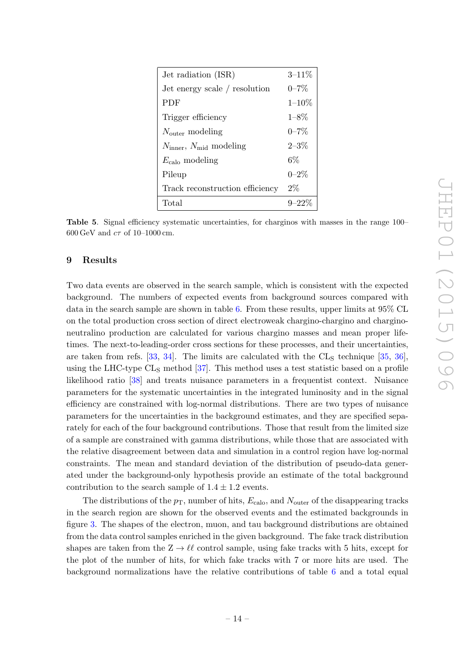| Jet radiation (ISR)              | $3 - 11\%$ |
|----------------------------------|------------|
| Jet energy scale / resolution    | $0 - 7\%$  |
| <b>PDF</b>                       | $1 - 10\%$ |
| Trigger efficiency               | $1 - 8\%$  |
| $N_{\text{outer}}$ modeling      | $0 - 7\%$  |
| $N_{inner}$ , $N_{mid}$ modeling | $2 - 3\%$  |
| $E_{\rm calo}$ modeling          | 6%         |
| Pileup                           | $0 - 2\%$  |
| Track reconstruction efficiency  | $2\%$      |
| Total                            | 9–22%      |

<span id="page-14-1"></span>Table 5. Signal efficiency systematic uncertainties, for charginos with masses in the range 100– 600 GeV and  $c\tau$  of 10–1000 cm.

### <span id="page-14-0"></span>9 Results

Two data events are observed in the search sample, which is consistent with the expected background. The numbers of expected events from background sources compared with data in the search sample are shown in table [6.](#page-15-1) From these results, upper limits at 95% CL on the total production cross section of direct electroweak chargino-chargino and charginoneutralino production are calculated for various chargino masses and mean proper lifetimes. The next-to-leading-order cross sections for these processes, and their uncertainties, are taken from refs.  $[33, 34]$  $[33, 34]$  $[33, 34]$ . The limits are calculated with the CL<sub>S</sub> technique  $[35, 36]$  $[35, 36]$  $[35, 36]$ , using the LHC-type  $CL_S$  method [\[37\]](#page-22-6). This method uses a test statistic based on a profile likelihood ratio [\[38\]](#page-22-7) and treats nuisance parameters in a frequentist context. Nuisance parameters for the systematic uncertainties in the integrated luminosity and in the signal efficiency are constrained with log-normal distributions. There are two types of nuisance parameters for the uncertainties in the background estimates, and they are specified separately for each of the four background contributions. Those that result from the limited size of a sample are constrained with gamma distributions, while those that are associated with the relative disagreement between data and simulation in a control region have log-normal constraints. The mean and standard deviation of the distribution of pseudo-data generated under the background-only hypothesis provide an estimate of the total background contribution to the search sample of  $1.4 \pm 1.2$  events.

The distributions of the  $p<sub>T</sub>$ , number of hits,  $E<sub>calo</sub>$ , and  $N<sub>outer</sub>$  of the disappearing tracks in the search region are shown for the observed events and the estimated backgrounds in figure [3.](#page-16-0) The shapes of the electron, muon, and tau background distributions are obtained from the data control samples enriched in the given background. The fake track distribution shapes are taken from the  $Z \to \ell \ell$  control sample, using fake tracks with 5 hits, except for the plot of the number of hits, for which fake tracks with 7 or more hits are used. The background normalizations have the relative contributions of table [6](#page-15-1) and a total equal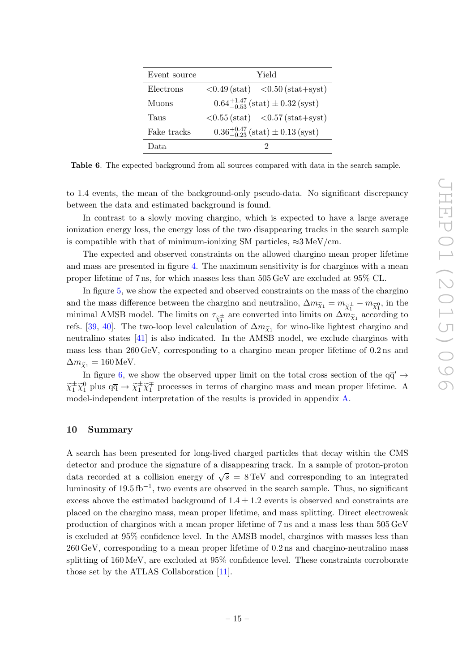| Event source | Yield                                                                                         |  |  |  |
|--------------|-----------------------------------------------------------------------------------------------|--|--|--|
| Electrons    | $\langle 0.49 \, (\text{stat}) \rangle$ $\langle 0.50 \, (\text{stat} + \text{syst}) \rangle$ |  |  |  |
| Muons        | $0.64^{+1.47}_{-0.53}$ (stat) $\pm 0.32$ (syst)                                               |  |  |  |
| Taus         | $< 0.55$ (stat) $< 0.57$ (stat+syst)                                                          |  |  |  |
| Fake tracks  | $0.36^{+0.47}_{-0.23}$ (stat) $\pm 0.13$ (syst)                                               |  |  |  |
| )ata         |                                                                                               |  |  |  |

<span id="page-15-1"></span>Table 6. The expected background from all sources compared with data in the search sample.

to 1.4 events, the mean of the background-only pseudo-data. No significant discrepancy between the data and estimated background is found.

In contrast to a slowly moving chargino, which is expected to have a large average ionization energy loss, the energy loss of the two disappearing tracks in the search sample is compatible with that of minimum-ionizing SM particles,  $\approx 3 \text{ MeV/cm}$ .

The expected and observed constraints on the allowed chargino mean proper lifetime and mass are presented in figure [4.](#page-17-0) The maximum sensitivity is for charginos with a mean proper lifetime of 7 ns, for which masses less than 505 GeV are excluded at 95% CL.

In figure [5,](#page-17-1) we show the expected and observed constraints on the mass of the chargino and the mass difference between the chargino and neutralino,  $\Delta m_{\tilde{\chi}_1} = m_{\tilde{\chi}_1^{\pm}} - m_{\tilde{\chi}_1^0}$ , in the minimal AMSP model. The limits an  $\tilde{\tau}_1$  are convented into limits an  $\Lambda$  m<sub>3</sub> association to minimal AMSB model. The limits on  $\tau_{\tilde{\chi}^{\pm}_1}$  are converted into limits on  $\Delta m_{\tilde{\chi}_1}$  according to refer [20, 40]. The two leap level exhaustion of  $\Delta m$ , for ring like lightest ebarging and refs. [\[39,](#page-22-8) [40\]](#page-22-9). The two-loop level calculation of  $\Delta m_{\tilde{\chi}_1}$  for wino-like lightest chargino and neutralino states [\[41\]](#page-22-10) is also indicated. In the AMSB model, we exclude charginos with mass less than 260 GeV, corresponding to a chargino mean proper lifetime of 0.2 ns and  $\Delta m_{\tilde{\gamma}_1} = 160 \,\text{MeV}.$ 

In figure [6,](#page-18-0) we show the observed upper limit on the total cross section of the  $q\bar{q}' \rightarrow$  $\tilde{\chi}_1^{\pm} \tilde{\chi}_1^0$  plus  $q\bar{q} \to \tilde{\chi}_1^{\pm} \tilde{\chi}_1^{\mp}$  processes in terms of chargino mass and mean proper lifetime. A model-independent interpretation of the results is provided in appendix [A.](#page-19-0)

### <span id="page-15-0"></span>10 Summary

A search has been presented for long-lived charged particles that decay within the CMS detector and produce the signature of a disappearing track. In a sample of proton-proton data recorded at a collision energy of  $\sqrt{s} = 8 \text{ TeV}$  and corresponding to an integrated luminosity of 19.5 fb<sup>-1</sup>, two events are observed in the search sample. Thus, no significant excess above the estimated background of  $1.4 \pm 1.2$  events is observed and constraints are placed on the chargino mass, mean proper lifetime, and mass splitting. Direct electroweak production of charginos with a mean proper lifetime of 7 ns and a mass less than 505 GeV is excluded at 95% confidence level. In the AMSB model, charginos with masses less than 260 GeV, corresponding to a mean proper lifetime of 0.2 ns and chargino-neutralino mass splitting of 160 MeV, are excluded at 95% confidence level. These constraints corroborate those set by the ATLAS Collaboration [\[11\]](#page-20-6).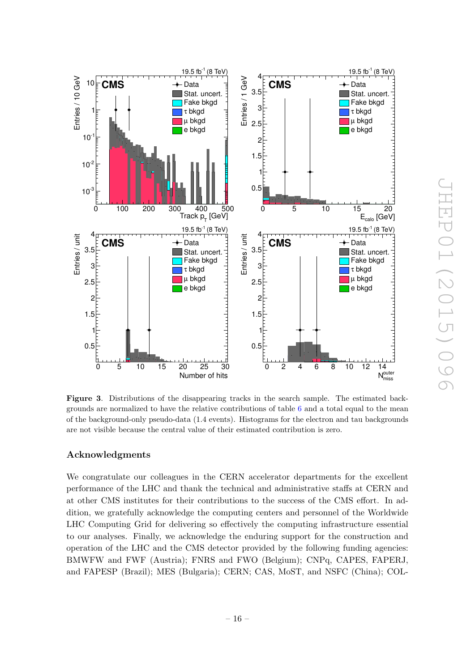

<span id="page-16-0"></span>Figure 3. Distributions of the disappearing tracks in the search sample. The estimated backgrounds are normalized to have the relative contributions of table [6](#page-15-1) and a total equal to the mean of the background-only pseudo-data (1.4 events). Histograms for the electron and tau backgrounds are not visible because the central value of their estimated contribution is zero.

# Acknowledgments

We congratulate our colleagues in the CERN accelerator departments for the excellent performance of the LHC and thank the technical and administrative staffs at CERN and at other CMS institutes for their contributions to the success of the CMS effort. In addition, we gratefully acknowledge the computing centers and personnel of the Worldwide LHC Computing Grid for delivering so effectively the computing infrastructure essential to our analyses. Finally, we acknowledge the enduring support for the construction and operation of the LHC and the CMS detector provided by the following funding agencies: BMWFW and FWF (Austria); FNRS and FWO (Belgium); CNPq, CAPES, FAPERJ, and FAPESP (Brazil); MES (Bulgaria); CERN; CAS, MoST, and NSFC (China); COL-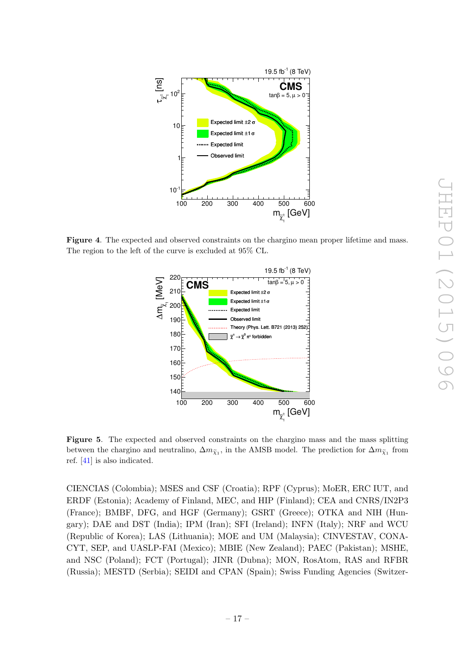

<span id="page-17-0"></span>Figure 4. The expected and observed constraints on the chargino mean proper lifetime and mass. The region to the left of the curve is excluded at 95% CL.



<span id="page-17-1"></span>Figure 5. The expected and observed constraints on the chargino mass and the mass splitting between the chargino and neutralino,  $\Delta m_{\tilde{\chi}_1}$ , in the AMSB model. The prediction for  $\Delta m_{\tilde{\chi}_1}$  from ref. [\[41\]](#page-22-10) is also indicated.

CIENCIAS (Colombia); MSES and CSF (Croatia); RPF (Cyprus); MoER, ERC IUT, and ERDF (Estonia); Academy of Finland, MEC, and HIP (Finland); CEA and CNRS/IN2P3 (France); BMBF, DFG, and HGF (Germany); GSRT (Greece); OTKA and NIH (Hungary); DAE and DST (India); IPM (Iran); SFI (Ireland); INFN (Italy); NRF and WCU (Republic of Korea); LAS (Lithuania); MOE and UM (Malaysia); CINVESTAV, CONA-CYT, SEP, and UASLP-FAI (Mexico); MBIE (New Zealand); PAEC (Pakistan); MSHE, and NSC (Poland); FCT (Portugal); JINR (Dubna); MON, RosAtom, RAS and RFBR (Russia); MESTD (Serbia); SEIDI and CPAN (Spain); Swiss Funding Agencies (Switzer-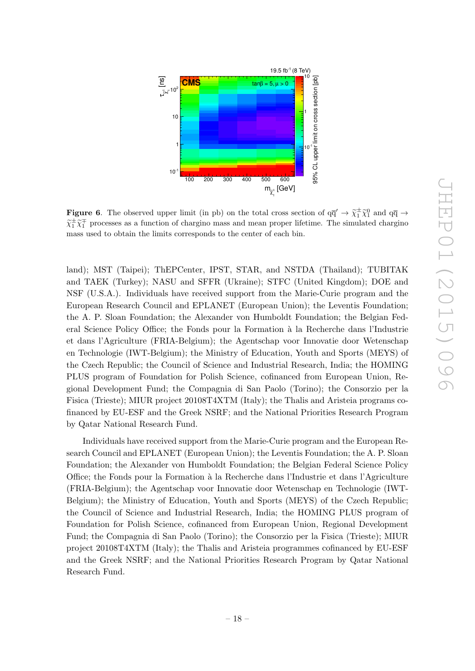

<span id="page-18-0"></span>**Figure 6.** The observed upper limit (in pb) on the total cross section of  $q\bar{q}' \to \tilde{\chi}_1^{\pm} \tilde{\chi}_1^0$  and  $q\bar{q} \to \tilde{\chi}_2^{\pm} \tilde{\chi}_3^{\mp}$  are recessed as a function of charming mass and mean proper lifetime. The simu  $\tilde{\chi}_{\perp}^{\pm} \tilde{\chi}_{\perp}^{\mp}$  processes as a function of chargino mass and mean proper lifetime. The simulated chargino mass are the limits companied to the center of sock bin mass used to obtain the limits corresponds to the center of each bin.

land); MST (Taipei); ThEPCenter, IPST, STAR, and NSTDA (Thailand); TUBITAK and TAEK (Turkey); NASU and SFFR (Ukraine); STFC (United Kingdom); DOE and NSF (U.S.A.). Individuals have received support from the Marie-Curie program and the European Research Council and EPLANET (European Union); the Leventis Foundation; the A. P. Sloan Foundation; the Alexander von Humboldt Foundation; the Belgian Federal Science Policy Office; the Fonds pour la Formation à la Recherche dans l'Industrie et dans l'Agriculture (FRIA-Belgium); the Agentschap voor Innovatie door Wetenschap en Technologie (IWT-Belgium); the Ministry of Education, Youth and Sports (MEYS) of the Czech Republic; the Council of Science and Industrial Research, India; the HOMING PLUS program of Foundation for Polish Science, cofinanced from European Union, Regional Development Fund; the Compagnia di San Paolo (Torino); the Consorzio per la Fisica (Trieste); MIUR project 20108T4XTM (Italy); the Thalis and Aristeia programs cofinanced by EU-ESF and the Greek NSRF; and the National Priorities Research Program by Qatar National Research Fund.

Individuals have received support from the Marie-Curie program and the European Research Council and EPLANET (European Union); the Leventis Foundation; the A. P. Sloan Foundation; the Alexander von Humboldt Foundation; the Belgian Federal Science Policy Office; the Fonds pour la Formation à la Recherche dans l'Industrie et dans l'Agriculture (FRIA-Belgium); the Agentschap voor Innovatie door Wetenschap en Technologie (IWT-Belgium); the Ministry of Education, Youth and Sports (MEYS) of the Czech Republic; the Council of Science and Industrial Research, India; the HOMING PLUS program of Foundation for Polish Science, cofinanced from European Union, Regional Development Fund; the Compagnia di San Paolo (Torino); the Consorzio per la Fisica (Trieste); MIUR project 20108T4XTM (Italy); the Thalis and Aristeia programmes cofinanced by EU-ESF and the Greek NSRF; and the National Priorities Research Program by Qatar National Research Fund.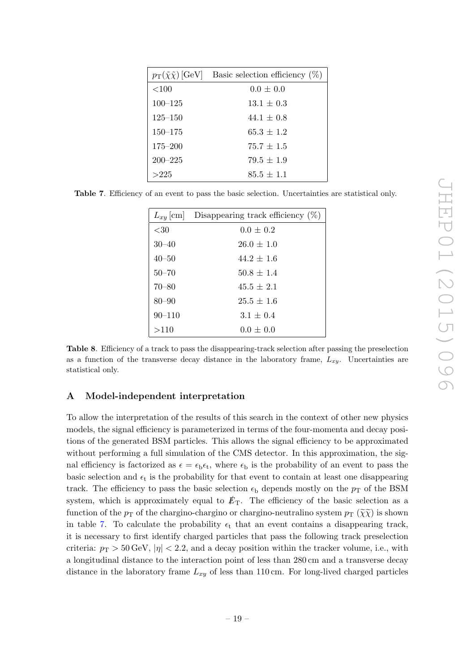| $p_{\rm T}(\tilde{\chi}\tilde{\chi})$ [GeV] | Basic selection efficiency $(\%)$ |
|---------------------------------------------|-----------------------------------|
| $<$ 100                                     | $0.0 \pm 0.0$                     |
| $100 - 125$                                 | $13.1 \pm 0.3$                    |
| $125 - 150$                                 | $44.1 + 0.8$                      |
| $150 - 175$                                 | $65.3 \pm 1.2$                    |
| $175 - 200$                                 | $75.7 \pm 1.5$                    |
| $200 - 225$                                 | $79.5 \pm 1.9$                    |
| >225                                        | $85.5 + 1.1$                      |

<span id="page-19-1"></span>Table 7. Efficiency of an event to pass the basic selection. Uncertainties are statistical only.

|            | $L_{xy}$ cm Disappearing track efficiency $(\%)$ |
|------------|--------------------------------------------------|
| < 30       | $0.0 \pm 0.2$                                    |
| $30 - 40$  | $26.0 \pm 1.0$                                   |
| $40 - 50$  | $44.2 + 1.6$                                     |
| $50 - 70$  | $50.8 \pm 1.4$                                   |
| $70 - 80$  | $45.5 \pm 2.1$                                   |
| $80 - 90$  | $25.5 \pm 1.6$                                   |
| $90 - 110$ | $3.1 \pm 0.4$                                    |
| >110       | $0.0 + 0.0$                                      |

<span id="page-19-2"></span>Table 8. Efficiency of a track to pass the disappearing-track selection after passing the preselection as a function of the transverse decay distance in the laboratory frame,  $L_{xy}$ . Uncertainties are statistical only.

# <span id="page-19-0"></span>A Model-independent interpretation

To allow the interpretation of the results of this search in the context of other new physics models, the signal efficiency is parameterized in terms of the four-momenta and decay positions of the generated BSM particles. This allows the signal efficiency to be approximated without performing a full simulation of the CMS detector. In this approximation, the signal efficiency is factorized as  $\epsilon = \epsilon_b \epsilon_t$ , where  $\epsilon_b$  is the probability of an event to pass the basic selection and  $\epsilon_t$  is the probability for that event to contain at least one disappearing track. The efficiency to pass the basic selection  $\epsilon_{\rm b}$  depends mostly on the  $p_{\rm T}$  of the BSM system, which is approximately equal to  $E_T$ . The efficiency of the basic selection as a function of the  $p_T$  of the chargino-chargino or chargino-neutralino system  $p_T(\widetilde{\chi}\widetilde{\chi})$  is shown in table [7.](#page-19-1) To calculate the probability  $\epsilon_t$  that an event contains a disappearing track, it is necessary to first identify charged particles that pass the following track preselection criteria:  $p_T > 50 \,\text{GeV}, |\eta| < 2.2$ , and a decay position within the tracker volume, i.e., with a longitudinal distance to the interaction point of less than 280 cm and a transverse decay distance in the laboratory frame  $L_{xy}$  of less than 110 cm. For long-lived charged particles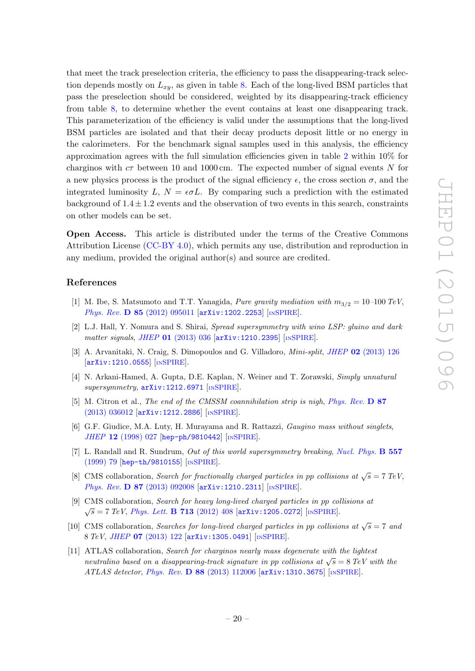that meet the track preselection criteria, the efficiency to pass the disappearing-track selection depends mostly on  $L_{xy}$ , as given in table [8.](#page-19-2) Each of the long-lived BSM particles that pass the preselection should be considered, weighted by its disappearing-track efficiency from table [8,](#page-19-2) to determine whether the event contains at least one disappearing track. This parameterization of the efficiency is valid under the assumptions that the long-lived BSM particles are isolated and that their decay products deposit little or no energy in the calorimeters. For the benchmark signal samples used in this analysis, the efficiency approximation agrees with the full simulation efficiencies given in table [2](#page-9-2) within 10% for charginos with  $c\tau$  between 10 and 1000 cm. The expected number of signal events N for a new physics process is the product of the signal efficiency  $\epsilon$ , the cross section  $\sigma$ , and the integrated luminosity L,  $N = \epsilon \sigma L$ . By comparing such a prediction with the estimated background of  $1.4 \pm 1.2$  events and the observation of two events in this search, constraints on other models can be set.

Open Access. This article is distributed under the terms of the Creative Commons Attribution License [\(CC-BY 4.0\)](http://creativecommons.org/licenses/by/4.0/), which permits any use, distribution and reproduction in any medium, provided the original author(s) and source are credited.

# References

- <span id="page-20-0"></span>[1] M. Ibe, S. Matsumoto and T.T. Yanagida, Pure gravity mediation with  $m_{3/2} = 10$ –100 TeV, Phys. Rev. **D 85** [\(2012\) 095011](http://dx.doi.org/10.1103/PhysRevD.85.095011) [[arXiv:1202.2253](http://arxiv.org/abs/1202.2253)] [IN[SPIRE](http://inspirehep.net/search?p=find+EPRINT+arXiv:1202.2253)].
- [2] L.J. Hall, Y. Nomura and S. Shirai, Spread supersymmetry with wino LSP: gluino and dark matter signals, JHEP 01 [\(2013\) 036](http://dx.doi.org/10.1007/JHEP01(2013)036) [[arXiv:1210.2395](http://arxiv.org/abs/1210.2395)] [IN[SPIRE](http://inspirehep.net/search?p=find+EPRINT+arXiv:1210.2395)].
- [3] A. Arvanitaki, N. Craig, S. Dimopoulos and G. Villadoro, Mini-split, JHEP 02 [\(2013\) 126](http://dx.doi.org/10.1007/JHEP02(2013)126) [[arXiv:1210.0555](http://arxiv.org/abs/1210.0555)] [IN[SPIRE](http://inspirehep.net/search?p=find+EPRINT+arXiv:1210.0555)].
- [4] N. Arkani-Hamed, A. Gupta, D.E. Kaplan, N. Weiner and T. Zorawski, Simply unnatural supersymmetry,  $arXiv:1212.6971$  [IN[SPIRE](http://inspirehep.net/search?p=find+EPRINT+arXiv:1212.6971)].
- <span id="page-20-1"></span>[5] M. Citron et al., The end of the CMSSM coannihilation strip is nigh, [Phys. Rev.](http://dx.doi.org/10.1103/PhysRevD.87.036012) D 87 [\(2013\) 036012](http://dx.doi.org/10.1103/PhysRevD.87.036012) [[arXiv:1212.2886](http://arxiv.org/abs/1212.2886)] [IN[SPIRE](http://inspirehep.net/search?p=find+EPRINT+arXiv:1212.2886)].
- <span id="page-20-2"></span>[6] G.F. Giudice, M.A. Luty, H. Murayama and R. Rattazzi, Gaugino mass without singlets, JHEP 12 [\(1998\) 027](http://dx.doi.org/10.1088/1126-6708/1998/12/027) [[hep-ph/9810442](http://arxiv.org/abs/hep-ph/9810442)] [IN[SPIRE](http://inspirehep.net/search?p=find+EPRINT+hep-ph/9810442)].
- <span id="page-20-3"></span>[7] L. Randall and R. Sundrum, *Out of this world supersymmetry breaking, [Nucl. Phys.](http://dx.doi.org/10.1016/S0550-3213(99)00359-4)* **B 557** [\(1999\) 79](http://dx.doi.org/10.1016/S0550-3213(99)00359-4) [[hep-th/9810155](http://arxiv.org/abs/hep-th/9810155)] [IN[SPIRE](http://inspirehep.net/search?p=find+EPRINT+hep-th/9810155)].
- <span id="page-20-4"></span>[8] CMS collaboration, Search for fractionally charged particles in pp collisions at  $\sqrt{s} = 7 \text{ TeV}$ , Phys. Rev. **D 87** [\(2013\) 092008](http://dx.doi.org/10.1103/PhysRevD.87.092008) [[arXiv:1210.2311](http://arxiv.org/abs/1210.2311)] [IN[SPIRE](http://inspirehep.net/search?p=find+J+Phys.Rev.,D87,092008)].
- [9] CMS collaboration, Search for heavy long-lived charged particles in pp collisions at  $\sqrt{s}$  = 7 TeV, [Phys. Lett.](http://dx.doi.org/10.1016/j.physletb.2012.06.023) **B 713** (2012) 408  $\left[\text{arXiv:1205.0272}\right]$  $\left[\text{arXiv:1205.0272}\right]$  $\left[\text{arXiv:1205.0272}\right]$  [IN[SPIRE](http://inspirehep.net/search?p=find+EPRINT+arXiv:1205.0272)].
- <span id="page-20-5"></span>[10] CMS collaboration, *Searches for long-lived charged particles in pp collisions at*  $\sqrt{s} = 7$  *and* 8 TeV, JHEP 07 [\(2013\) 122](http://dx.doi.org/10.1007/JHEP07(2013)122) [[arXiv:1305.0491](http://arxiv.org/abs/1305.0491)] [IN[SPIRE](http://inspirehep.net/search?p=find+EPRINT+arXiv:1305.0491)].
- <span id="page-20-6"></span>[11] ATLAS collaboration, Search for charginos nearly mass degenerate with the lightest neutralino based on a disappearing-track signature in pp collisions at  $\sqrt{s} = 8$  TeV with the ATLAS detector, Phys. Rev. D 88 [\(2013\) 112006](http://dx.doi.org/10.1103/PhysRevD.88.112006)  $arXiv:1310.3675$  [IN[SPIRE](http://inspirehep.net/search?p=find+EPRINT+arXiv:1310.3675)].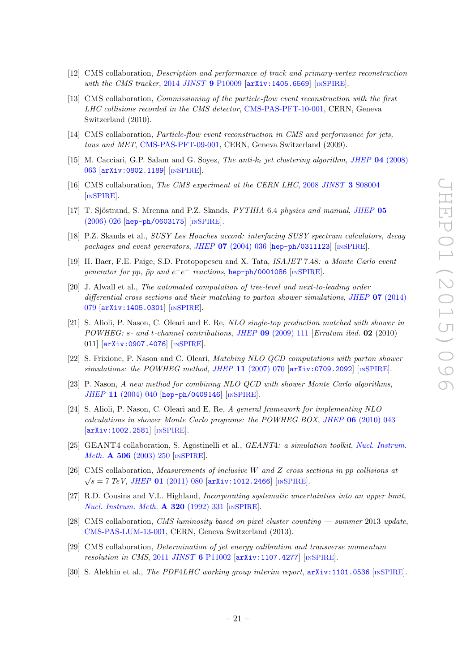- <span id="page-21-0"></span>[12] CMS collaboration, Description and performance of track and primary-vertex reconstruction with the CMS tracker,  $2014$  JINST 9 [P10009](http://dx.doi.org/10.1088/1748-0221/9/10/P10009)  $arXiv:1405.6569$  [IN[SPIRE](http://inspirehep.net/search?p=find+J+JINST,9,P10009)].
- <span id="page-21-1"></span>[13] CMS collaboration, Commissioning of the particle-flow event reconstruction with the first LHC collisions recorded in the CMS detector, [CMS-PAS-PFT-10-001,](http://cds.cern.ch/record/1247373) CERN, Geneva Switzerland (2010).
- <span id="page-21-2"></span>[14] CMS collaboration, *Particle-flow event reconstruction in CMS and performance for jets*, taus and MET, [CMS-PAS-PFT-09-001,](http://cds.cern.ch/record/1194487) CERN, Geneva Switzerland (2009).
- <span id="page-21-3"></span>[15] M. Cacciari, G.P. Salam and G. Soyez, The anti- $k_t$  jet clustering algorithm, JHEP 04 [\(2008\)](http://dx.doi.org/10.1088/1126-6708/2008/04/063) [063](http://dx.doi.org/10.1088/1126-6708/2008/04/063) [[arXiv:0802.1189](http://arxiv.org/abs/0802.1189)] [IN[SPIRE](http://inspirehep.net/search?p=find+EPRINT+arXiv:0802.1189)].
- <span id="page-21-4"></span>[16] CMS collaboration, The CMS experiment at the CERN LHC, 2008 JINST 3 [S08004](http://dx.doi.org/10.1088/1748-0221/3/08/S08004) [IN[SPIRE](http://inspirehep.net/search?p=find+J+JINST,3,S08004)].
- <span id="page-21-5"></span>[17] T. Sjöstrand, S. Mrenna and P.Z. Skands,  $PYTHIA$  6.4 *physics and manual, [JHEP](http://dx.doi.org/10.1088/1126-6708/2006/05/026)* 05 [\(2006\) 026](http://dx.doi.org/10.1088/1126-6708/2006/05/026) [[hep-ph/0603175](http://arxiv.org/abs/hep-ph/0603175)] [IN[SPIRE](http://inspirehep.net/search?p=find+EPRINT+hep-ph/0603175)].
- <span id="page-21-6"></span>[18] P.Z. Skands et al., SUSY Les Houches accord: interfacing SUSY spectrum calculators, decay packages and event generators, JHEP 07 [\(2004\) 036](http://dx.doi.org/10.1088/1126-6708/2004/07/036) [[hep-ph/0311123](http://arxiv.org/abs/hep-ph/0311123)] [IN[SPIRE](http://inspirehep.net/search?p=find+EPRINT+hep-ph/0311123)].
- <span id="page-21-7"></span>[19] H. Baer, F.E. Paige, S.D. Protopopescu and X. Tata, ISAJET 7.48: a Monte Carlo event generator for pp,  $\bar{p}p$  and  $e^+e^-$  reactions, [hep-ph/0001086](http://arxiv.org/abs/hep-ph/0001086) [IN[SPIRE](http://inspirehep.net/search?p=find+EPRINT+hep-ph/0001086)].
- <span id="page-21-8"></span>[20] J. Alwall et al., *The automated computation of tree-level and next-to-leading order* differential cross sections and their matching to parton shower simulations, JHEP 07 [\(2014\)](http://dx.doi.org/10.1007/JHEP07(2014)079) [079](http://dx.doi.org/10.1007/JHEP07(2014)079) [[arXiv:1405.0301](http://arxiv.org/abs/1405.0301)] [IN[SPIRE](http://inspirehep.net/search?p=find+EPRINT+arXiv:1405.0301)].
- <span id="page-21-9"></span>[21] S. Alioli, P. Nason, C. Oleari and E. Re, NLO single-top production matched with shower in POWHEG: s- and t-channel contributions, JHEP 09 [\(2009\) 111](http://dx.doi.org/10.1088/1126-6708/2009/09/111) [Erratum ibid. 02 (2010) 011] [[arXiv:0907.4076](http://arxiv.org/abs/0907.4076)] [IN[SPIRE](http://inspirehep.net/search?p=find+EPRINT+arXiv:0907.4076)].
- [22] S. Frixione, P. Nason and C. Oleari, Matching NLO QCD computations with parton shower simulations: the POWHEG method, JHEP 11 [\(2007\) 070](http://dx.doi.org/10.1088/1126-6708/2007/11/070)  $\left[$ [arXiv:0709.2092](http://arxiv.org/abs/0709.2092) $\right]$  [IN[SPIRE](http://inspirehep.net/search?p=find+EPRINT+arXiv:0709.2092)].
- [23] P. Nason, A new method for combining NLO QCD with shower Monte Carlo algorithms, JHEP 11 [\(2004\) 040](http://dx.doi.org/10.1088/1126-6708/2004/11/040) [[hep-ph/0409146](http://arxiv.org/abs/hep-ph/0409146)] [IN[SPIRE](http://inspirehep.net/search?p=find+EPRINT+hep-ph/0409146)].
- <span id="page-21-10"></span>[24] S. Alioli, P. Nason, C. Oleari and E. Re, A general framework for implementing NLO calculations in shower Monte Carlo programs: the POWHEG BOX, JHEP 06 [\(2010\) 043](http://dx.doi.org/10.1007/JHEP06(2010)043) [[arXiv:1002.2581](http://arxiv.org/abs/1002.2581)] [IN[SPIRE](http://inspirehep.net/search?p=find+EPRINT+arXiv:1002.2581)].
- <span id="page-21-11"></span>[25] GEANT4 collaboration, S. Agostinelli et al., GEANT4: a simulation toolkit, [Nucl. Instrum.](http://dx.doi.org/10.1016/S0168-9002(03)01368-8) Meth. **A 506** [\(2003\) 250](http://dx.doi.org/10.1016/S0168-9002(03)01368-8) [IN[SPIRE](http://inspirehep.net/search?p=find+J+Nucl.Instrum.Meth.,A506,250)].
- <span id="page-21-12"></span>[26] CMS collaboration, Measurements of inclusive W and Z cross sections in pp collisions at  $\sqrt{s}$  = 7 TeV, JHEP 01 [\(2011\) 080](http://dx.doi.org/10.1007/JHEP01(2011)080) [[arXiv:1012.2466](http://arxiv.org/abs/1012.2466)] [IN[SPIRE](http://inspirehep.net/search?p=find+EPRINT+arXiv:1012.2466)].
- <span id="page-21-13"></span>[27] R.D. Cousins and V.L. Highland, Incorporating systematic uncertainties into an upper limit, [Nucl. Instrum. Meth.](http://dx.doi.org/10.1016/0168-9002(92)90794-5) **A 320** (1992) 331 [IN[SPIRE](http://inspirehep.net/search?p=find+J+Nucl.Instrum.Meth.,A320,331)].
- <span id="page-21-14"></span>[28] CMS collaboration, *CMS* luminosity based on pixel cluster counting  $-$  summer 2013 update, [CMS-PAS-LUM-13-001,](http://cds.cern.ch/record/1598864) CERN, Geneva Switzerland (2013).
- <span id="page-21-15"></span>[29] CMS collaboration, Determination of jet energy calibration and transverse momentum resolution in CMS, 2011 JINST 6 [P11002](http://dx.doi.org/10.1088/1748-0221/6/11/P11002) [[arXiv:1107.4277](http://arxiv.org/abs/1107.4277)] [IN[SPIRE](http://inspirehep.net/search?p=find+J+JINST,6,P11002)].
- <span id="page-21-16"></span>[30] S. Alekhin et al., *The PDF4LHC working group interim report*,  $arXiv:1101.0536$  [IN[SPIRE](http://inspirehep.net/search?p=find+EPRINT+arXiv:1101.0536)].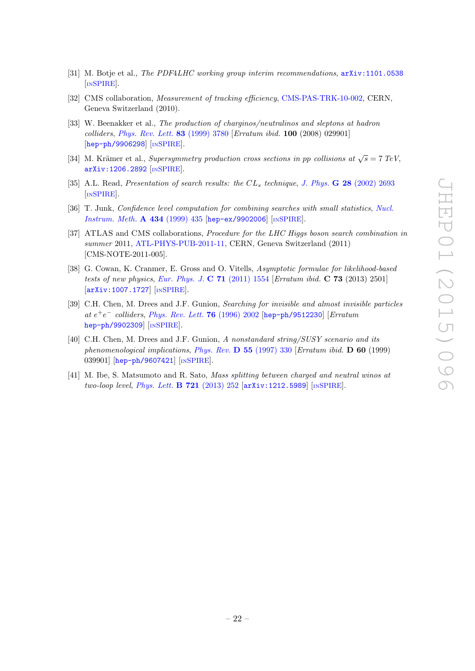- <span id="page-22-0"></span>[31] M. Botje et al., The PDF4LHC working group interim recommendations,  $arXiv:1101.0538$ [IN[SPIRE](http://inspirehep.net/search?p=find+EPRINT+arXiv:1101.0538)].
- <span id="page-22-1"></span>[32] CMS collaboration, *Measurement of tracking efficiency*, [CMS-PAS-TRK-10-002,](http://cds.cern.ch/record/1279139) CERN, Geneva Switzerland (2010).
- <span id="page-22-2"></span>[33] W. Beenakker et al., The production of charginos/neutralinos and sleptons at hadron colliders, [Phys. Rev. Lett.](http://dx.doi.org/10.1103/PhysRevLett.100.029901) 83 (1999) 3780 [Erratum ibid. 100 (2008) 029901] [[hep-ph/9906298](http://arxiv.org/abs/hep-ph/9906298)] [IN[SPIRE](http://inspirehep.net/search?p=find+EPRINT+hep-ph/9906298)].
- <span id="page-22-3"></span>[34] M. Krämer et al., Supersymmetry production cross sections in pp collisions at  $\sqrt{s} = 7 \text{ TeV}$ , [arXiv:1206.2892](http://arxiv.org/abs/1206.2892) [IN[SPIRE](http://inspirehep.net/search?p=find+EPRINT+arXiv:1206.2892)].
- <span id="page-22-4"></span>[35] A.L. Read, Presentation of search results: the  $CL<sub>s</sub>$  technique, J. Phys. **G 28** [\(2002\) 2693](http://dx.doi.org/10.1088/0954-3899/28/10/313) [IN[SPIRE](http://inspirehep.net/search?p=find+J+J.Phys.,G28,2693)].
- <span id="page-22-5"></span>[36] T. Junk, Confidence level computation for combining searches with small statistics, [Nucl.](http://dx.doi.org/10.1016/S0168-9002(99)00498-2) [Instrum. Meth.](http://dx.doi.org/10.1016/S0168-9002(99)00498-2) A 434 (1999) 435 [[hep-ex/9902006](http://arxiv.org/abs/hep-ex/9902006)] [IN[SPIRE](http://inspirehep.net/search?p=find+EPRINT+hep-ex/9902006)].
- <span id="page-22-6"></span>[37] ATLAS and CMS collaborations, *Procedure for the LHC Higgs boson search combination in* summer 2011, [ATL-PHYS-PUB-2011-11,](http://cds.cern.ch/record/1379837) CERN, Geneva Switzerland (2011) [CMS-NOTE-2011-005].
- <span id="page-22-7"></span>[38] G. Cowan, K. Cranmer, E. Gross and O. Vitells, Asymptotic formulae for likelihood-based tests of new physics, [Eur. Phys. J.](http://dx.doi.org/10.1140/epjc/s10052-011-1554-0) C  $71$  (2011) 1554 [Erratum ibid. C  $73$  (2013) 2501] [[arXiv:1007.1727](http://arxiv.org/abs/1007.1727)] [IN[SPIRE](http://inspirehep.net/search?p=find+EPRINT+arXiv:1007.1727)].
- <span id="page-22-8"></span>[39] C.H. Chen, M. Drees and J.F. Gunion, Searching for invisible and almost invisible particles at  $e^+e^-$  colliders, [Phys. Rev. Lett.](http://dx.doi.org/10.1103/PhysRevLett.76.2002) 76 (1996) 2002 [[hep-ph/9512230](http://arxiv.org/abs/hep-ph/9512230)] [Erratum [hep-ph/9902309](http://arxiv.org/abs/hep-ph/9902309)] [IN[SPIRE](http://inspirehep.net/search?p=find+EPRINT+hep-ph/9512230)].
- <span id="page-22-9"></span>[40] C.H. Chen, M. Drees and J.F. Gunion, A nonstandard string/SUSY scenario and its phenomenological implications, [Phys. Rev.](http://dx.doi.org/10.1103/PhysRevD.55.330) D 55 (1997) 330 [Erratum ibid. D 60 (1999) 039901] [[hep-ph/9607421](http://arxiv.org/abs/hep-ph/9607421)] [IN[SPIRE](http://inspirehep.net/search?p=find+J+Phys.Rev.,D55,330)].
- <span id="page-22-10"></span>[41] M. Ibe, S. Matsumoto and R. Sato, Mass splitting between charged and neutral winos at two-loop level, [Phys. Lett.](http://dx.doi.org/10.1016/j.physletb.2013.03.015) **B 721** (2013) 252 [[arXiv:1212.5989](http://arxiv.org/abs/1212.5989)] [IN[SPIRE](http://inspirehep.net/search?p=find+EPRINT+arXiv:1212.5989)].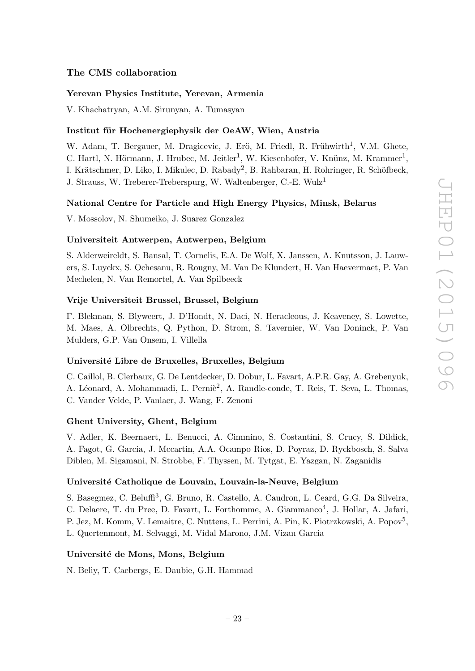### The CMS collaboration

### <span id="page-23-0"></span>Yerevan Physics Institute, Yerevan, Armenia

V. Khachatryan, A.M. Sirunyan, A. Tumasyan

### Institut für Hochenergiephysik der OeAW, Wien, Austria

W. Adam, T. Bergauer, M. Dragicevic, J. Erö, M. Friedl, R. Frühwirth<sup>1</sup>, V.M. Ghete, C. Hartl, N. Hörmann, J. Hrubec, M. Jeitler<sup>1</sup>, W. Kiesenhofer, V. Knünz, M. Krammer<sup>1</sup>, I. Krätschmer, D. Liko, I. Mikulec, D. Rabady<sup>2</sup>, B. Rahbaran, H. Rohringer, R. Schöfbeck, J. Strauss, W. Treberer-Treberspurg, W. Waltenberger, C.-E. Wulz<sup>1</sup>

### National Centre for Particle and High Energy Physics, Minsk, Belarus

V. Mossolov, N. Shumeiko, J. Suarez Gonzalez

### Universiteit Antwerpen, Antwerpen, Belgium

S. Alderweireldt, S. Bansal, T. Cornelis, E.A. De Wolf, X. Janssen, A. Knutsson, J. Lauwers, S. Luyckx, S. Ochesanu, R. Rougny, M. Van De Klundert, H. Van Haevermaet, P. Van Mechelen, N. Van Remortel, A. Van Spilbeeck

### Vrije Universiteit Brussel, Brussel, Belgium

F. Blekman, S. Blyweert, J. D'Hondt, N. Daci, N. Heracleous, J. Keaveney, S. Lowette, M. Maes, A. Olbrechts, Q. Python, D. Strom, S. Tavernier, W. Van Doninck, P. Van Mulders, G.P. Van Onsem, I. Villella

### Université Libre de Bruxelles, Bruxelles, Belgium

C. Caillol, B. Clerbaux, G. De Lentdecker, D. Dobur, L. Favart, A.P.R. Gay, A. Grebenyuk, A. Léonard, A. Mohammadi, L. Perniè<sup>2</sup>, A. Randle-conde, T. Reis, T. Seva, L. Thomas, C. Vander Velde, P. Vanlaer, J. Wang, F. Zenoni

### Ghent University, Ghent, Belgium

V. Adler, K. Beernaert, L. Benucci, A. Cimmino, S. Costantini, S. Crucy, S. Dildick, A. Fagot, G. Garcia, J. Mccartin, A.A. Ocampo Rios, D. Poyraz, D. Ryckbosch, S. Salva Diblen, M. Sigamani, N. Strobbe, F. Thyssen, M. Tytgat, E. Yazgan, N. Zaganidis

### Université Catholique de Louvain, Louvain-la-Neuve, Belgium

S. Basegmez, C. Beluffi<sup>3</sup>, G. Bruno, R. Castello, A. Caudron, L. Ceard, G.G. Da Silveira, C. Delaere, T. du Pree, D. Favart, L. Forthomme, A. Giammanco<sup>4</sup>, J. Hollar, A. Jafari, P. Jez, M. Komm, V. Lemaitre, C. Nuttens, L. Perrini, A. Pin, K. Piotrzkowski, A. Popov<sup>5</sup>, L. Quertenmont, M. Selvaggi, M. Vidal Marono, J.M. Vizan Garcia

### Université de Mons, Mons, Belgium

N. Beliy, T. Caebergs, E. Daubie, G.H. Hammad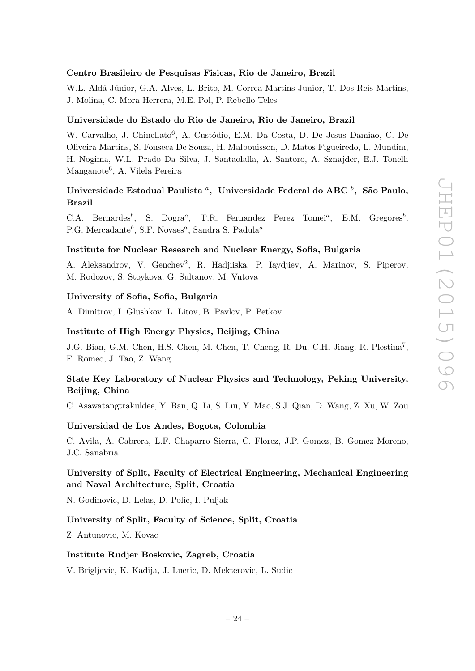### Centro Brasileiro de Pesquisas Fisicas, Rio de Janeiro, Brazil

W.L. Aldá Júnior, G.A. Alves, L. Brito, M. Correa Martins Junior, T. Dos Reis Martins, J. Molina, C. Mora Herrera, M.E. Pol, P. Rebello Teles

### Universidade do Estado do Rio de Janeiro, Rio de Janeiro, Brazil

W. Carvalho, J. Chinellato<sup>6</sup>, A. Custódio, E.M. Da Costa, D. De Jesus Damiao, C. De Oliveira Martins, S. Fonseca De Souza, H. Malbouisson, D. Matos Figueiredo, L. Mundim, H. Nogima, W.L. Prado Da Silva, J. Santaolalla, A. Santoro, A. Sznajder, E.J. Tonelli Manganote<sup>6</sup> , A. Vilela Pereira

# Universidade Estadual Paulista <sup>a</sup>, Universidade Federal do ABC  $^b$ , São Paulo, Brazil

C.A. Bernardes<sup>b</sup>, S. Dogra<sup>a</sup>, T.R. Fernandez Perez Tomei<sup>a</sup>, E.M. Gregores<sup>b</sup>, P.G. Mercadante<sup>b</sup>, S.F. Novaes<sup>a</sup>, Sandra S. Padula<sup>a</sup>

### Institute for Nuclear Research and Nuclear Energy, Sofia, Bulgaria

A. Aleksandrov, V. Genchev<sup>2</sup>, R. Hadjiiska, P. Iaydjiev, A. Marinov, S. Piperov, M. Rodozov, S. Stoykova, G. Sultanov, M. Vutova

### University of Sofia, Sofia, Bulgaria

A. Dimitrov, I. Glushkov, L. Litov, B. Pavlov, P. Petkov

### Institute of High Energy Physics, Beijing, China

J.G. Bian, G.M. Chen, H.S. Chen, M. Chen, T. Cheng, R. Du, C.H. Jiang, R. Plestina<sup>7</sup>, F. Romeo, J. Tao, Z. Wang

# State Key Laboratory of Nuclear Physics and Technology, Peking University, Beijing, China

C. Asawatangtrakuldee, Y. Ban, Q. Li, S. Liu, Y. Mao, S.J. Qian, D. Wang, Z. Xu, W. Zou

### Universidad de Los Andes, Bogota, Colombia

C. Avila, A. Cabrera, L.F. Chaparro Sierra, C. Florez, J.P. Gomez, B. Gomez Moreno, J.C. Sanabria

# University of Split, Faculty of Electrical Engineering, Mechanical Engineering and Naval Architecture, Split, Croatia

N. Godinovic, D. Lelas, D. Polic, I. Puljak

### University of Split, Faculty of Science, Split, Croatia

Z. Antunovic, M. Kovac

### Institute Rudjer Boskovic, Zagreb, Croatia

V. Brigljevic, K. Kadija, J. Luetic, D. Mekterovic, L. Sudic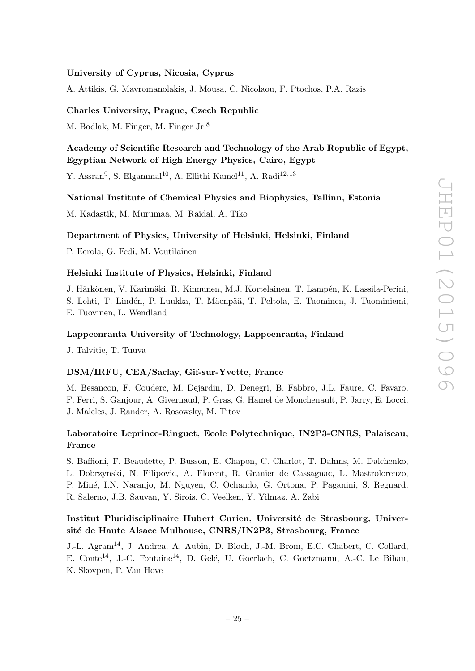### University of Cyprus, Nicosia, Cyprus

A. Attikis, G. Mavromanolakis, J. Mousa, C. Nicolaou, F. Ptochos, P.A. Razis

### Charles University, Prague, Czech Republic

M. Bodlak, M. Finger, M. Finger Jr.<sup>8</sup>

# Academy of Scientific Research and Technology of the Arab Republic of Egypt, Egyptian Network of High Energy Physics, Cairo, Egypt

Y. Assran $^9$ , S. Elgammal<sup>10</sup>, A. Ellithi Kamel<sup>11</sup>, A. Radi<sup>12,13</sup>

### National Institute of Chemical Physics and Biophysics, Tallinn, Estonia

M. Kadastik, M. Murumaa, M. Raidal, A. Tiko

### Department of Physics, University of Helsinki, Helsinki, Finland

P. Eerola, G. Fedi, M. Voutilainen

### Helsinki Institute of Physics, Helsinki, Finland

J. Härkönen, V. Karimäki, R. Kinnunen, M.J. Kortelainen, T. Lampén, K. Lassila-Perini, S. Lehti, T. Lindén, P. Luukka, T. Mäenpää, T. Peltola, E. Tuominen, J. Tuominiemi, E. Tuovinen, L. Wendland

### Lappeenranta University of Technology, Lappeenranta, Finland

J. Talvitie, T. Tuuva

### DSM/IRFU, CEA/Saclay, Gif-sur-Yvette, France

M. Besancon, F. Couderc, M. Dejardin, D. Denegri, B. Fabbro, J.L. Faure, C. Favaro, F. Ferri, S. Ganjour, A. Givernaud, P. Gras, G. Hamel de Monchenault, P. Jarry, E. Locci, J. Malcles, J. Rander, A. Rosowsky, M. Titov

# Laboratoire Leprince-Ringuet, Ecole Polytechnique, IN2P3-CNRS, Palaiseau, France

S. Baffioni, F. Beaudette, P. Busson, E. Chapon, C. Charlot, T. Dahms, M. Dalchenko, L. Dobrzynski, N. Filipovic, A. Florent, R. Granier de Cassagnac, L. Mastrolorenzo, P. Min´e, I.N. Naranjo, M. Nguyen, C. Ochando, G. Ortona, P. Paganini, S. Regnard, R. Salerno, J.B. Sauvan, Y. Sirois, C. Veelken, Y. Yilmaz, A. Zabi

# Institut Pluridisciplinaire Hubert Curien, Université de Strasbourg, Université de Haute Alsace Mulhouse, CNRS/IN2P3, Strasbourg, France

J.-L. Agram14, J. Andrea, A. Aubin, D. Bloch, J.-M. Brom, E.C. Chabert, C. Collard, E. Conte<sup>14</sup>, J.-C. Fontaine<sup>14</sup>, D. Gelé, U. Goerlach, C. Goetzmann, A.-C. Le Bihan, K. Skovpen, P. Van Hove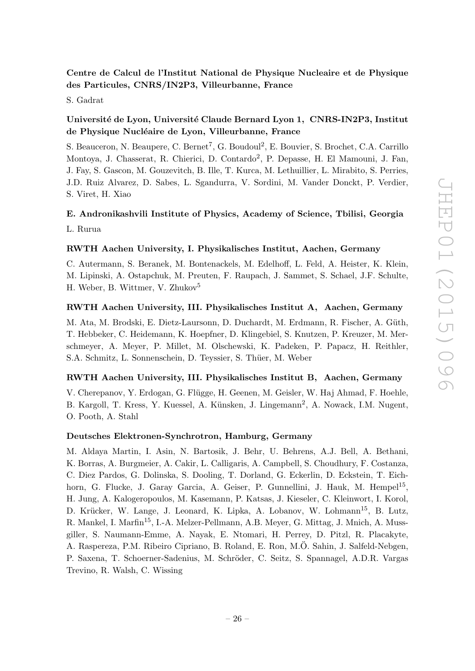Centre de Calcul de l'Institut National de Physique Nucleaire et de Physique des Particules, CNRS/IN2P3, Villeurbanne, France

S. Gadrat

# Université de Lyon, Université Claude Bernard Lyon 1, CNRS-IN2P3, Institut de Physique Nucléaire de Lyon, Villeurbanne, France

S. Beauceron, N. Beaupere, C. Bernet<sup>7</sup>, G. Boudoul<sup>2</sup>, E. Bouvier, S. Brochet, C.A. Carrillo Montoya, J. Chasserat, R. Chierici, D. Contardo<sup>2</sup>, P. Depasse, H. El Mamouni, J. Fan, J. Fay, S. Gascon, M. Gouzevitch, B. Ille, T. Kurca, M. Lethuillier, L. Mirabito, S. Perries, J.D. Ruiz Alvarez, D. Sabes, L. Sgandurra, V. Sordini, M. Vander Donckt, P. Verdier, S. Viret, H. Xiao

# E. Andronikashvili Institute of Physics, Academy of Science, Tbilisi, Georgia

L. Rurua

### RWTH Aachen University, I. Physikalisches Institut, Aachen, Germany

C. Autermann, S. Beranek, M. Bontenackels, M. Edelhoff, L. Feld, A. Heister, K. Klein, M. Lipinski, A. Ostapchuk, M. Preuten, F. Raupach, J. Sammet, S. Schael, J.F. Schulte, H. Weber, B. Wittmer, V. Zhukov<sup>5</sup>

### RWTH Aachen University, III. Physikalisches Institut A, Aachen, Germany

M. Ata, M. Brodski, E. Dietz-Laursonn, D. Duchardt, M. Erdmann, R. Fischer, A. Güth, T. Hebbeker, C. Heidemann, K. Hoepfner, D. Klingebiel, S. Knutzen, P. Kreuzer, M. Merschmeyer, A. Meyer, P. Millet, M. Olschewski, K. Padeken, P. Papacz, H. Reithler, S.A. Schmitz, L. Sonnenschein, D. Teyssier, S. Thüer, M. Weber

### RWTH Aachen University, III. Physikalisches Institut B, Aachen, Germany

V. Cherepanov, Y. Erdogan, G. Flügge, H. Geenen, M. Geisler, W. Haj Ahmad, F. Hoehle, B. Kargoll, T. Kress, Y. Kuessel, A. Künsken, J. Lingemann<sup>2</sup>, A. Nowack, I.M. Nugent, O. Pooth, A. Stahl

### Deutsches Elektronen-Synchrotron, Hamburg, Germany

M. Aldaya Martin, I. Asin, N. Bartosik, J. Behr, U. Behrens, A.J. Bell, A. Bethani, K. Borras, A. Burgmeier, A. Cakir, L. Calligaris, A. Campbell, S. Choudhury, F. Costanza, C. Diez Pardos, G. Dolinska, S. Dooling, T. Dorland, G. Eckerlin, D. Eckstein, T. Eichhorn, G. Flucke, J. Garay Garcia, A. Geiser, P. Gunnellini, J. Hauk, M. Hempel<sup>15</sup>, H. Jung, A. Kalogeropoulos, M. Kasemann, P. Katsas, J. Kieseler, C. Kleinwort, I. Korol, D. Krücker, W. Lange, J. Leonard, K. Lipka, A. Lobanov, W. Lohmann<sup>15</sup>, B. Lutz, R. Mankel, I. Marfin<sup>15</sup>, I.-A. Melzer-Pellmann, A.B. Meyer, G. Mittag, J. Mnich, A. Mussgiller, S. Naumann-Emme, A. Nayak, E. Ntomari, H. Perrey, D. Pitzl, R. Placakyte, A. Raspereza, P.M. Ribeiro Cipriano, B. Roland, E. Ron, M.O. Sahin, J. Salfeld-Nebgen, ¨ P. Saxena, T. Schoerner-Sadenius, M. Schröder, C. Seitz, S. Spannagel, A.D.R. Vargas Trevino, R. Walsh, C. Wissing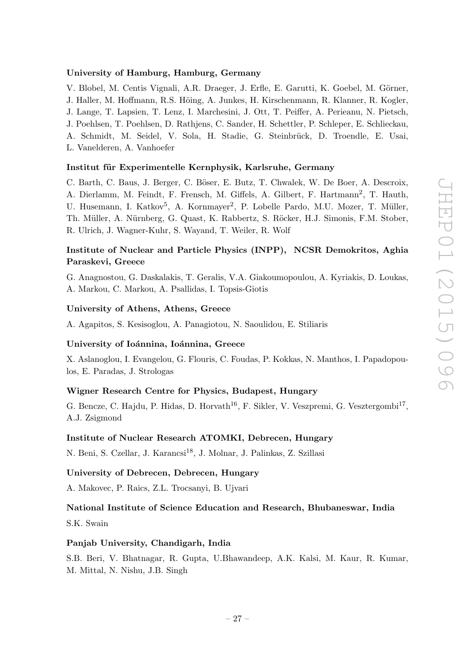### University of Hamburg, Hamburg, Germany

V. Blobel, M. Centis Vignali, A.R. Draeger, J. Erfle, E. Garutti, K. Goebel, M. Görner, J. Haller, M. Hoffmann, R.S. Höing, A. Junkes, H. Kirschenmann, R. Klanner, R. Kogler, J. Lange, T. Lapsien, T. Lenz, I. Marchesini, J. Ott, T. Peiffer, A. Perieanu, N. Pietsch, J. Poehlsen, T. Poehlsen, D. Rathjens, C. Sander, H. Schettler, P. Schleper, E. Schlieckau, A. Schmidt, M. Seidel, V. Sola, H. Stadie, G. Steinbrück, D. Troendle, E. Usai, L. Vanelderen, A. Vanhoefer

### Institut für Experimentelle Kernphysik, Karlsruhe, Germany

C. Barth, C. Baus, J. Berger, C. Böser, E. Butz, T. Chwalek, W. De Boer, A. Descroix, A. Dierlamm, M. Feindt, F. Frensch, M. Giffels, A. Gilbert, F. Hartmann<sup>2</sup>, T. Hauth, U. Husemann, I. Katkov<sup>5</sup>, A. Kornmayer<sup>2</sup>, P. Lobelle Pardo, M.U. Mozer, T. Müller, Th. Müller, A. Nürnberg, G. Quast, K. Rabbertz, S. Röcker, H.J. Simonis, F.M. Stober, R. Ulrich, J. Wagner-Kuhr, S. Wayand, T. Weiler, R. Wolf

# Institute of Nuclear and Particle Physics (INPP), NCSR Demokritos, Aghia Paraskevi, Greece

G. Anagnostou, G. Daskalakis, T. Geralis, V.A. Giakoumopoulou, A. Kyriakis, D. Loukas, A. Markou, C. Markou, A. Psallidas, I. Topsis-Giotis

### University of Athens, Athens, Greece

A. Agapitos, S. Kesisoglou, A. Panagiotou, N. Saoulidou, E. Stiliaris

### University of Ioánnina, Ioánnina, Greece

X. Aslanoglou, I. Evangelou, G. Flouris, C. Foudas, P. Kokkas, N. Manthos, I. Papadopoulos, E. Paradas, J. Strologas

### Wigner Research Centre for Physics, Budapest, Hungary

G. Bencze, C. Hajdu, P. Hidas, D. Horvath<sup>16</sup>, F. Sikler, V. Veszpremi, G. Vesztergombi<sup>17</sup>, A.J. Zsigmond

### Institute of Nuclear Research ATOMKI, Debrecen, Hungary

N. Beni, S. Czellar, J. Karancsi18, J. Molnar, J. Palinkas, Z. Szillasi

### University of Debrecen, Debrecen, Hungary

A. Makovec, P. Raics, Z.L. Trocsanyi, B. Ujvari

### National Institute of Science Education and Research, Bhubaneswar, India

S.K. Swain

### Panjab University, Chandigarh, India

S.B. Beri, V. Bhatnagar, R. Gupta, U.Bhawandeep, A.K. Kalsi, M. Kaur, R. Kumar, M. Mittal, N. Nishu, J.B. Singh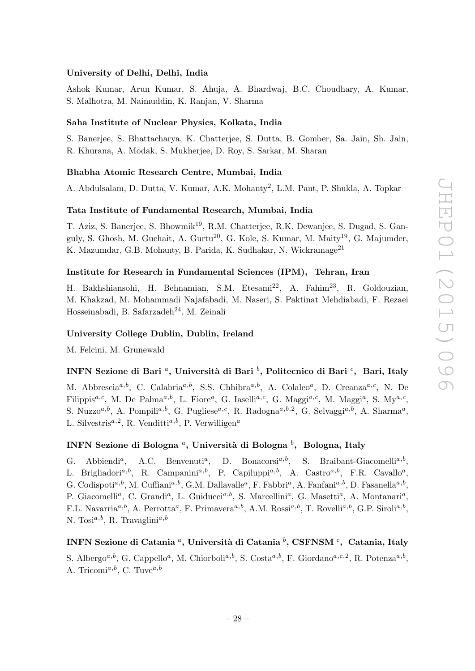### University of Delhi, Delhi, India

Ashok Kumar, Arun Kumar, S. Ahuja, A. Bhardwaj, B.C. Choudhary, A. Kumar, S. Malhotra, M. Naimuddin, K. Ranjan, V. Sharma

### Saha Institute of Nuclear Physics, Kolkata, India

S. Banerjee, S. Bhattacharya, K. Chatterjee, S. Dutta, B. Gomber, Sa. Jain, Sh. Jain,

R. Khurana, A. Modak, S. Mukherjee, D. Roy, S. Sarkar, M. Sharan

### Bhabha Atomic Research Centre, Mumbai, India

A. Abdulsalam, D. Dutta, V. Kumar, A.K. Mohanty<sup>2</sup>, L.M. Pant, P. Shukla, A. Topkar

### Tata Institute of Fundamental Research, Mumbai, India

T. Aziz, S. Banerjee, S. Bhowmik<sup>19</sup>, R.M. Chatterjee, R.K. Dewanjee, S. Dugad, S. Ganguly, S. Ghosh, M. Guchait, A. Gurtu<sup>20</sup>, G. Kole, S. Kumar, M. Maity<sup>19</sup>, G. Majumder, K. Mazumdar, G.B. Mohanty, B. Parida, K. Sudhakar, N. Wickramage<sup>21</sup>

### Institute for Research in Fundamental Sciences (IPM), Tehran, Iran

H. Bakhshiansohi, H. Behnamian, S.M. Etesami<sup>22</sup>, A. Fahim<sup>23</sup>, R. Goldouzian, M. Khakzad, M. Mohammadi Najafabadi, M. Naseri, S. Paktinat Mehdiabadi, F. Rezaei Hosseinabadi, B. Safarzadeh<sup>24</sup>, M. Zeinali

### University College Dublin, Dublin, Ireland

M. Felcini, M. Grunewald

# INFN Sezione di Bari <sup>a</sup>, Università di Bari  $^b$ , Politecnico di Bari  $^c$ , Bari, Italy

M. Abbrescia<sup>a,b</sup>, C. Calabria<sup>a,b</sup>, S.S. Chhibra<sup>a,b</sup>, A. Colaleo<sup>a</sup>, D. Creanza<sup>a,c</sup>, N. De Filippis<sup>a,c</sup>, M. De Palma<sup>a,b</sup>, L. Fiore<sup>a</sup>, G. Iaselli<sup>a,c</sup>, G. Maggi<sup>a,c</sup>, M. Maggi<sup>a</sup>, S. My<sup>a,c</sup>, S. Nuzzo<sup>a,b</sup>, A. Pompili<sup>a,b</sup>, G. Pugliese<sup>a,c</sup>, R. Radogna<sup>a,b,2</sup>, G. Selvaggi<sup>a,b</sup>, A. Sharma<sup>a</sup>, L. Silvestris<sup>a, 2</sup>, R. Venditti<sup>a, b</sup>, P. Verwilligen<sup>a</sup>

# INFN Sezione di Bologna <sup>a</sup>, Università di Bologna  $^b$ , Bologna, Italy

G. Abbiendi<sup>a</sup>, A.C. Benvenuti<sup>a</sup>, D. Bonacorsi<sup>a,b</sup>, S. Braibant-Giacomelli<sup>a,b</sup>, L. Brigliadori<sup>a,b</sup>, R. Campanini<sup>a,b</sup>, P. Capiluppi<sup>a,b</sup>, A. Castro<sup>a,b</sup>, F.R. Cavallo<sup>a</sup>, G. Codispoti<sup>a,b</sup>, M. Cuffiani<sup>a,b</sup>, G.M. Dallavalle<sup>a</sup>, F. Fabbri<sup>a</sup>, A. Fanfani<sup>a,b</sup>, D. Fasanella<sup>a,b</sup>, P. Giacomelli<sup>a</sup>, C. Grandi<sup>a</sup>, L. Guiducci<sup>a,b</sup>, S. Marcellini<sup>a</sup>, G. Masetti<sup>a</sup>, A. Montanari<sup>a</sup>, F.L. Navarria<sup>a,b</sup>, A. Perrotta<sup>a</sup>, F. Primavera<sup>a,b</sup>, A.M. Rossi<sup>a,b</sup>, T. Rovelli<sup>a,b</sup>, G.P. Siroli<sup>a,b</sup>, N. Tosi<sup> $a,b$ </sup>, R. Travaglini<sup> $a,b$ </sup>

# INFN Sezione di Catania <sup>a</sup>, Università di Catania  $^b,$  CSFNSM  $^c, \,$  Catania, Italy

S. Albergo<sup>a,b</sup>, G. Cappello<sup>a</sup>, M. Chiorboli<sup>a,b</sup>, S. Costa<sup>a,b</sup>, F. Giordano<sup>a,c,2</sup>, R. Potenza<sup>a,b</sup>, A. Tricomi<sup>a,b</sup>, C. Tuve<sup>a,b</sup>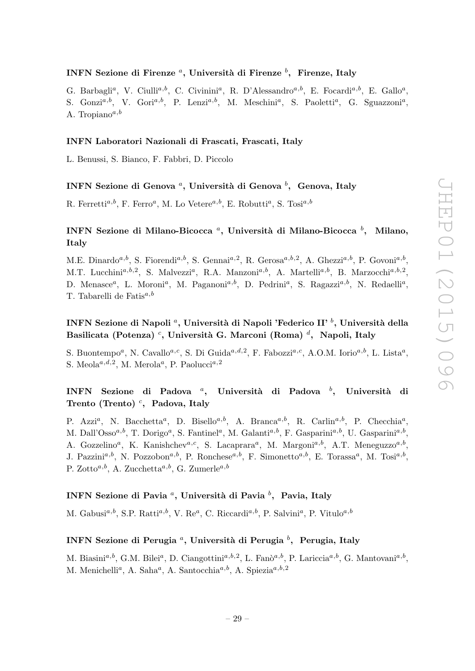# INFN Sezione di Firenze  $^a,$  Università di Firenze  $^b, \,$  Firenze, Italy

G. Barbagli<sup>a</sup>, V. Ciulli<sup>a,b</sup>, C. Civinini<sup>a</sup>, R. D'Alessandro<sup>a,b</sup>, E. Focardi<sup>a,b</sup>, E. Gallo<sup>a</sup>, S. Gonzi<sup>a,b</sup>, V. Gori<sup>a,b</sup>, P. Lenzi<sup>a,b</sup>, M. Meschini<sup>a</sup>, S. Paoletti<sup>a</sup>, G. Sguazzoni<sup>a</sup>, A. Tropiano $a,b$ 

### INFN Laboratori Nazionali di Frascati, Frascati, Italy

L. Benussi, S. Bianco, F. Fabbri, D. Piccolo

# INFN Sezione di Genova  $^a,$  Università di Genova  $^b, \,$  Genova, Italy

R. Ferretti<sup>a,b</sup>, F. Ferro<sup>a</sup>, M. Lo Vetere<sup>a,b</sup>, E. Robutti<sup>a</sup>, S. Tosi<sup>a,b</sup>

# INFN Sezione di Milano-Bicocca <sup>a</sup>, Università di Milano-Bicocca <sup>b</sup>, Milano, Italy

M.E. Dinardo<sup>a,b</sup>, S. Fiorendi<sup>a,b</sup>, S. Gennai<sup>a,2</sup>, R. Gerosa<sup>a,b,2</sup>, A. Ghezzi<sup>a,b</sup>, P. Govoni<sup>a,b</sup>, M.T. Lucchini<sup>a,b,2</sup>, S. Malvezzi<sup>a</sup>, R.A. Manzoni<sup>a,b</sup>, A. Martelli<sup>a,b</sup>, B. Marzocchi<sup>a,b,2</sup>, D. Menasce<sup>a</sup>, L. Moroni<sup>a</sup>, M. Paganoni<sup>a,b</sup>, D. Pedrini<sup>a</sup>, S. Ragazzi<sup>a,b</sup>, N. Redaelli<sup>a</sup>, T. Tabarelli de Fatis $a,b$ 

# INFN Sezione di Napoli <sup>a</sup>, Università di Napoli 'Federico II'  $^b,$  Università della Basilicata (Potenza)  $^c$ , Università G. Marconi (Roma)  $^d$ , Napoli, Italy

S. Buontempo<sup>a</sup>, N. Cavallo<sup>a,c</sup>, S. Di Guida<sup>a,d,2</sup>, F. Fabozzi<sup>a,c</sup>, A.O.M. Iorio<sup>a,b</sup>, L. Lista<sup>a</sup>, S. Meola<sup>a,d,2</sup>, M. Merola<sup>a</sup>, P. Paolucci<sup>a,2</sup>

# INFN Sezione di Padova <sup>a</sup>, Università di Padova <sup>b</sup>, Università di  **(Trento)<sup>c</sup>, Padova, Italy**

P. Azzi<sup>a</sup>, N. Bacchetta<sup>a</sup>, D. Bisello<sup>a,b</sup>, A. Branca<sup>a,b</sup>, R. Carlin<sup>a,b</sup>, P. Checchia<sup>a</sup>, M. Dall'Osso<sup>a,b</sup>, T. Dorigo<sup>a</sup>, S. Fantinel<sup>a</sup>, M. Galanti<sup>a,b</sup>, F. Gasparini<sup>a,b</sup>, U. Gasparini<sup>a,b</sup>, A. Gozzelino<sup>a</sup>, K. Kanishchev<sup>a, c</sup>, S. Lacaprara<sup>a</sup>, M. Margoni<sup>a, b</sup>, A.T. Meneguzzo<sup>a, b</sup>, J. Pazzini<sup>a,b</sup>, N. Pozzobon<sup>a,b</sup>, P. Ronchese<sup>a,b</sup>, F. Simonetto<sup>a,b</sup>, E. Torassa<sup>a</sup>, M. Tosi<sup>a,b</sup>, P. Zotto<sup>a,b</sup>, A. Zucchetta<sup>a,b</sup>, G. Zumerle<sup>a,b</sup>

# INFN Sezione di Pavia  $^a,$  Università di Pavia  $^b, \, \,$  Pavia, Italy

M. Gabusi<sup>a,b</sup>, S.P. Ratti<sup>a,b</sup>, V. Re<sup>a</sup>, C. Riccardi<sup>a,b</sup>, P. Salvini<sup>a</sup>, P. Vitulo<sup>a,b</sup>

# INFN Sezione di Perugia  $^a,$  Università di Perugia  $^b,~$  Perugia, Italy

M. Biasini<sup>a,b</sup>, G.M. Bilei<sup>a</sup>, D. Ciangottini<sup>a,b,2</sup>, L. Fanò<sup>a,b</sup>, P. Lariccia<sup>a,b</sup>, G. Mantovani<sup>a,b</sup>, M. Menichelli<sup>a</sup>, A. Saha<sup>a</sup>, A. Santocchia<sup>a,b</sup>, A. Spiezia<sup>a,b,2</sup>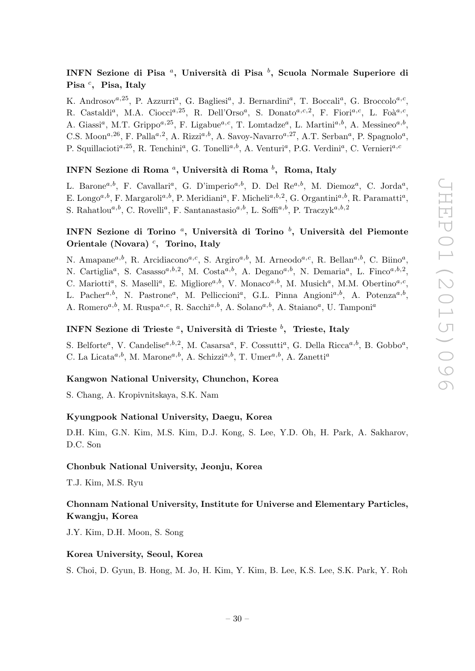# INFN Sezione di Pisa <sup>a</sup>, Università di Pisa <sup>b</sup>, Scuola Normale Superiore di Pisa<sup>c</sup>, Pisa, Italy

K. Androsov<sup>a, 25</sup>, P. Azzurri<sup>a</sup>, G. Bagliesi<sup>a</sup>, J. Bernardini<sup>a</sup>, T. Boccali<sup>a</sup>, G. Broccolo<sup>a, c</sup>, R. Castaldi<sup>a</sup>, M.A. Ciocci<sup>a, 25</sup>, R. Dell'Orso<sup>a</sup>, S. Donato<sup>a, c, 2</sup>, F. Fiori<sup>a, c</sup>, L. Foà<sup>a, c</sup>, A. Giassi<sup>a</sup>, M.T. Grippo<sup>a, 25</sup>, F. Ligabue<sup>a, c</sup>, T. Lomtadze<sup>a</sup>, L. Martini<sup>a, b</sup>, A. Messineo<sup>a, b</sup>, C.S. Moon<sup>a, 26</sup>, F. Palla<sup>a, 2</sup>, A. Rizzi<sup>a, b</sup>, A. Savoy-Navarro<sup>a, 27</sup>, A.T. Serban<sup>a</sup>, P. Spagnolo<sup>a</sup>, P. Squillacioti<sup>a, 25</sup>, R. Tenchini<sup>a</sup>, G. Tonelli<sup>a, b</sup>, A. Venturi<sup>a</sup>, P.G. Verdini<sup>a</sup>, C. Vernieri<sup>a, c</sup>

# INFN Sezione di Roma  $^a,$  Università di Roma  $^b, \, \,$  Roma, Italy

L. Barone<sup>a,b</sup>, F. Cavallari<sup>a</sup>, G. D'imperio<sup>a,b</sup>, D. Del Re<sup>a,b</sup>, M. Diemoz<sup>a</sup>, C. Jorda<sup>a</sup>, E. Longo<sup>a,b</sup>, F. Margaroli<sup>a,b</sup>, P. Meridiani<sup>a</sup>, F. Micheli<sup>a,b,2</sup>, G. Organtini<sup>a,b</sup>, R. Paramatti<sup>a</sup>, S. Rahatlou<sup>a,b</sup>, C. Rovelli<sup>a</sup>, F. Santanastasio<sup>a,b</sup>, L. Soffi<sup>a,b</sup>, P. Traczyk<sup>a,b,2</sup>

# INFN Sezione di Torino <sup>a</sup>, Università di Torino <sup>b</sup>, Università del Piemonte Orientale (Novara)<sup>c</sup>, Torino, Italy

N. Amapane<sup>a,b</sup>, R. Arcidiacono<sup>a,c</sup>, S. Argiro<sup>a,b</sup>, M. Arneodo<sup>a,c</sup>, R. Bellan<sup>a,b</sup>, C. Biino<sup>a</sup>, N. Cartiglia<sup>a</sup>, S. Casasso<sup>a,b,2</sup>, M. Costa<sup>a,b</sup>, A. Degano<sup>a,b</sup>, N. Demaria<sup>a</sup>, L. Finco<sup>a,b,2</sup>, C. Mariotti<sup>a</sup>, S. Maselli<sup>a</sup>, E. Migliore<sup>a,b</sup>, V. Monaco<sup>a,b</sup>, M. Musich<sup>a</sup>, M.M. Obertino<sup>a,c</sup>, L. Pacher<sup>a,b</sup>, N. Pastrone<sup>a</sup>, M. Pelliccioni<sup>a</sup>, G.L. Pinna Angioni<sup>a,b</sup>, A. Potenza<sup>a,b</sup>, A. Romero<sup>a,b</sup>, M. Ruspa<sup>a,c</sup>, R. Sacchi<sup>a,b</sup>, A. Solano<sup>a,b</sup>, A. Staiano<sup>a</sup>, U. Tamponi<sup>a</sup>

# INFN Sezione di Trieste <sup>a</sup>, Università di Trieste  $^b$ , Trieste, Italy

S. Belforte<sup>a</sup>, V. Candelise<sup>a,b,2</sup>, M. Casarsa<sup>a</sup>, F. Cossutti<sup>a</sup>, G. Della Ricca<sup>a,b</sup>, B. Gobbo<sup>a</sup>, C. La Licata<sup>a,b</sup>, M. Marone<sup>a,b</sup>, A. Schizzi<sup>a,b</sup>, T. Umer<sup>a,b</sup>, A. Zanetti<sup>a</sup>

### Kangwon National University, Chunchon, Korea

S. Chang, A. Kropivnitskaya, S.K. Nam

### Kyungpook National University, Daegu, Korea

D.H. Kim, G.N. Kim, M.S. Kim, D.J. Kong, S. Lee, Y.D. Oh, H. Park, A. Sakharov, D.C. Son

### Chonbuk National University, Jeonju, Korea

T.J. Kim, M.S. Ryu

# Chonnam National University, Institute for Universe and Elementary Particles, Kwangju, Korea

J.Y. Kim, D.H. Moon, S. Song

### Korea University, Seoul, Korea

S. Choi, D. Gyun, B. Hong, M. Jo, H. Kim, Y. Kim, B. Lee, K.S. Lee, S.K. Park, Y. Roh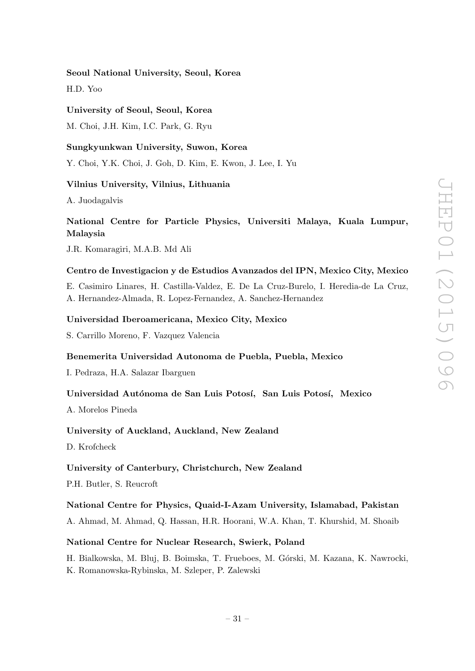### Seoul National University, Seoul, Korea

H.D. Yoo

### University of Seoul, Seoul, Korea

M. Choi, J.H. Kim, I.C. Park, G. Ryu

### Sungkyunkwan University, Suwon, Korea

Y. Choi, Y.K. Choi, J. Goh, D. Kim, E. Kwon, J. Lee, I. Yu

### Vilnius University, Vilnius, Lithuania

A. Juodagalvis

# National Centre for Particle Physics, Universiti Malaya, Kuala Lumpur, Malaysia

J.R. Komaragiri, M.A.B. Md Ali

### Centro de Investigacion y de Estudios Avanzados del IPN, Mexico City, Mexico

E. Casimiro Linares, H. Castilla-Valdez, E. De La Cruz-Burelo, I. Heredia-de La Cruz, A. Hernandez-Almada, R. Lopez-Fernandez, A. Sanchez-Hernandez

### Universidad Iberoamericana, Mexico City, Mexico

S. Carrillo Moreno, F. Vazquez Valencia

### Benemerita Universidad Autonoma de Puebla, Puebla, Mexico

I. Pedraza, H.A. Salazar Ibarguen

### Universidad Autónoma de San Luis Potosí, San Luis Potosí, Mexico

A. Morelos Pineda

### University of Auckland, Auckland, New Zealand

D. Krofcheck

### University of Canterbury, Christchurch, New Zealand

P.H. Butler, S. Reucroft

### National Centre for Physics, Quaid-I-Azam University, Islamabad, Pakistan

A. Ahmad, M. Ahmad, Q. Hassan, H.R. Hoorani, W.A. Khan, T. Khurshid, M. Shoaib

### National Centre for Nuclear Research, Swierk, Poland

H. Bialkowska, M. Bluj, B. Boimska, T. Frueboes, M. G´orski, M. Kazana, K. Nawrocki, K. Romanowska-Rybinska, M. Szleper, P. Zalewski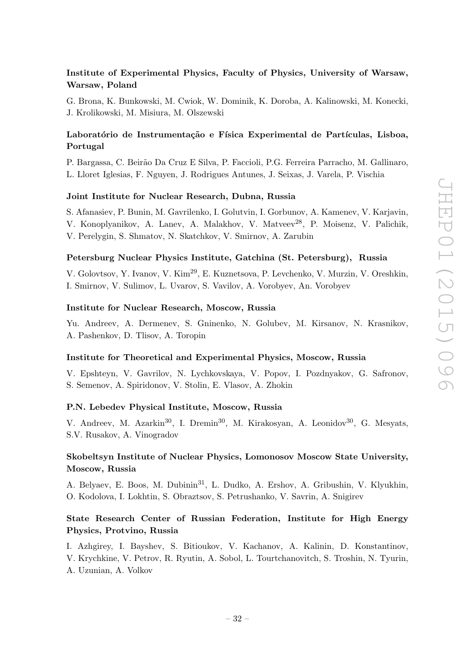# Institute of Experimental Physics, Faculty of Physics, University of Warsaw, Warsaw, Poland

G. Brona, K. Bunkowski, M. Cwiok, W. Dominik, K. Doroba, A. Kalinowski, M. Konecki, J. Krolikowski, M. Misiura, M. Olszewski

# Laboratório de Instrumentação e Física Experimental de Partículas, Lisboa, Portugal

P. Bargassa, C. Beirão Da Cruz E Silva, P. Faccioli, P.G. Ferreira Parracho, M. Gallinaro, L. Lloret Iglesias, F. Nguyen, J. Rodrigues Antunes, J. Seixas, J. Varela, P. Vischia

### Joint Institute for Nuclear Research, Dubna, Russia

S. Afanasiev, P. Bunin, M. Gavrilenko, I. Golutvin, I. Gorbunov, A. Kamenev, V. Karjavin, V. Konoplyanikov, A. Lanev, A. Malakhov, V. Matveev<sup>28</sup>, P. Moisenz, V. Palichik, V. Perelygin, S. Shmatov, N. Skatchkov, V. Smirnov, A. Zarubin

### Petersburg Nuclear Physics Institute, Gatchina (St. Petersburg), Russia

V. Golovtsov, Y. Ivanov, V. Kim29, E. Kuznetsova, P. Levchenko, V. Murzin, V. Oreshkin, I. Smirnov, V. Sulimov, L. Uvarov, S. Vavilov, A. Vorobyev, An. Vorobyev

### Institute for Nuclear Research, Moscow, Russia

Yu. Andreev, A. Dermenev, S. Gninenko, N. Golubev, M. Kirsanov, N. Krasnikov, A. Pashenkov, D. Tlisov, A. Toropin

### Institute for Theoretical and Experimental Physics, Moscow, Russia

V. Epshteyn, V. Gavrilov, N. Lychkovskaya, V. Popov, I. Pozdnyakov, G. Safronov, S. Semenov, A. Spiridonov, V. Stolin, E. Vlasov, A. Zhokin

### P.N. Lebedev Physical Institute, Moscow, Russia

V. Andreev, M. Azarkin<sup>30</sup>, I. Dremin<sup>30</sup>, M. Kirakosyan, A. Leonidov<sup>30</sup>, G. Mesyats, S.V. Rusakov, A. Vinogradov

# Skobeltsyn Institute of Nuclear Physics, Lomonosov Moscow State University, Moscow, Russia

A. Belyaev, E. Boos, M. Dubinin<sup>31</sup>, L. Dudko, A. Ershov, A. Gribushin, V. Klyukhin, O. Kodolova, I. Lokhtin, S. Obraztsov, S. Petrushanko, V. Savrin, A. Snigirev

# State Research Center of Russian Federation, Institute for High Energy Physics, Protvino, Russia

I. Azhgirey, I. Bayshev, S. Bitioukov, V. Kachanov, A. Kalinin, D. Konstantinov,

V. Krychkine, V. Petrov, R. Ryutin, A. Sobol, L. Tourtchanovitch, S. Troshin, N. Tyurin, A. Uzunian, A. Volkov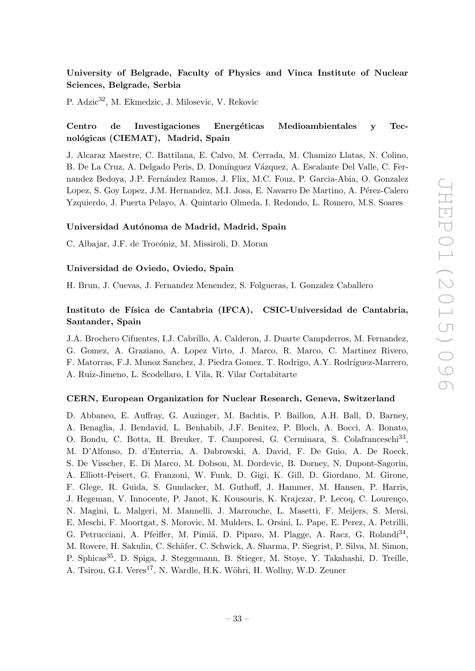# University of Belgrade, Faculty of Physics and Vinca Institute of Nuclear Sciences, Belgrade, Serbia

P. Adzic32, M. Ekmedzic, J. Milosevic, V. Rekovic

# Centro de Investigaciones Energéticas Medioambientales y Tecnológicas (CIEMAT), Madrid, Spain

J. Alcaraz Maestre, C. Battilana, E. Calvo, M. Cerrada, M. Chamizo Llatas, N. Colino, B. De La Cruz, A. Delgado Peris, D. Domínguez Vázquez, A. Escalante Del Valle, C. Fernandez Bedoya, J.P. Fernández Ramos, J. Flix, M.C. Fouz, P. Garcia-Abia, O. Gonzalez Lopez, S. Goy Lopez, J.M. Hernandez, M.I. Josa, E. Navarro De Martino, A. Pérez-Calero Yzquierdo, J. Puerta Pelayo, A. Quintario Olmeda, I. Redondo, L. Romero, M.S. Soares

### Universidad Autónoma de Madrid, Madrid, Spain

C. Albajar, J.F. de Trocóniz, M. Missiroli, D. Moran

### Universidad de Oviedo, Oviedo, Spain

H. Brun, J. Cuevas, J. Fernandez Menendez, S. Folgueras, I. Gonzalez Caballero

# Instituto de Física de Cantabria (IFCA), CSIC-Universidad de Cantabria, Santander, Spain

J.A. Brochero Cifuentes, I.J. Cabrillo, A. Calderon, J. Duarte Campderros, M. Fernandez, G. Gomez, A. Graziano, A. Lopez Virto, J. Marco, R. Marco, C. Martinez Rivero, F. Matorras, F.J. Munoz Sanchez, J. Piedra Gomez, T. Rodrigo, A.Y. Rodríguez-Marrero, A. Ruiz-Jimeno, L. Scodellaro, I. Vila, R. Vilar Cortabitarte

### CERN, European Organization for Nuclear Research, Geneva, Switzerland

D. Abbaneo, E. Auffray, G. Auzinger, M. Bachtis, P. Baillon, A.H. Ball, D. Barney, A. Benaglia, J. Bendavid, L. Benhabib, J.F. Benitez, P. Bloch, A. Bocci, A. Bonato, O. Bondu, C. Botta, H. Breuker, T. Camporesi, G. Cerminara, S. Colafranceschi<sup>33</sup>, M. D'Alfonso, D. d'Enterria, A. Dabrowski, A. David, F. De Guio, A. De Roeck, S. De Visscher, E. Di Marco, M. Dobson, M. Dordevic, B. Dorney, N. Dupont-Sagorin, A. Elliott-Peisert, G. Franzoni, W. Funk, D. Gigi, K. Gill, D. Giordano, M. Girone, F. Glege, R. Guida, S. Gundacker, M. Guthoff, J. Hammer, M. Hansen, P. Harris, J. Hegeman, V. Innocente, P. Janot, K. Kousouris, K. Krajczar, P. Lecoq, C. Lourenço, N. Magini, L. Malgeri, M. Mannelli, J. Marrouche, L. Masetti, F. Meijers, S. Mersi, E. Meschi, F. Moortgat, S. Morovic, M. Mulders, L. Orsini, L. Pape, E. Perez, A. Petrilli, G. Petrucciani, A. Pfeiffer, M. Pimiä, D. Piparo, M. Plagge, A. Racz, G. Rolandi<sup>34</sup>, M. Rovere, H. Sakulin, C. Schäfer, C. Schwick, A. Sharma, P. Siegrist, P. Silva, M. Simon, P. Sphicas<sup>35</sup>, D. Spiga, J. Steggemann, B. Stieger, M. Stoye, Y. Takahashi, D. Treille, A. Tsirou, G.I. Veres<sup>17</sup>, N. Wardle, H.K. Wöhri, H. Wollny, W.D. Zeuner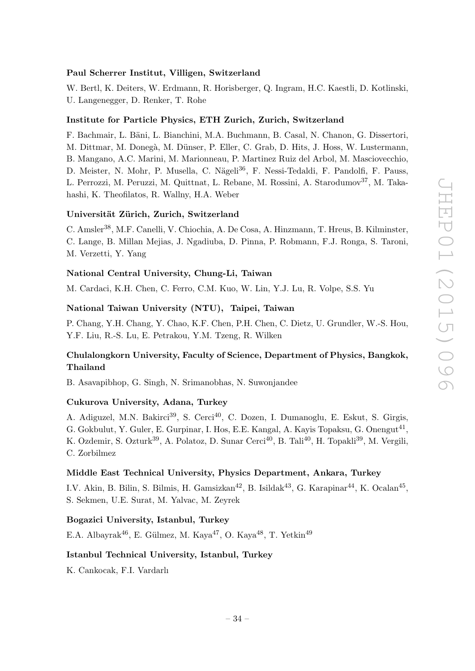# Paul Scherrer Institut, Villigen, Switzerland

W. Bertl, K. Deiters, W. Erdmann, R. Horisberger, Q. Ingram, H.C. Kaestli, D. Kotlinski, U. Langenegger, D. Renker, T. Rohe

### Institute for Particle Physics, ETH Zurich, Zurich, Switzerland

F. Bachmair, L. Bäni, L. Bianchini, M.A. Buchmann, B. Casal, N. Chanon, G. Dissertori, M. Dittmar, M. Donegà, M. Dünser, P. Eller, C. Grab, D. Hits, J. Hoss, W. Lustermann, B. Mangano, A.C. Marini, M. Marionneau, P. Martinez Ruiz del Arbol, M. Masciovecchio, D. Meister, N. Mohr, P. Musella, C. Nägeli<sup>36</sup>, F. Nessi-Tedaldi, F. Pandolfi, F. Pauss, L. Perrozzi, M. Peruzzi, M. Quittnat, L. Rebane, M. Rossini, A. Starodumov<sup>37</sup>, M. Takahashi, K. Theofilatos, R. Wallny, H.A. Weber

### Universität Zürich, Zurich, Switzerland

C. Amsler38, M.F. Canelli, V. Chiochia, A. De Cosa, A. Hinzmann, T. Hreus, B. Kilminster, C. Lange, B. Millan Mejias, J. Ngadiuba, D. Pinna, P. Robmann, F.J. Ronga, S. Taroni, M. Verzetti, Y. Yang

### National Central University, Chung-Li, Taiwan

M. Cardaci, K.H. Chen, C. Ferro, C.M. Kuo, W. Lin, Y.J. Lu, R. Volpe, S.S. Yu

### National Taiwan University (NTU), Taipei, Taiwan

P. Chang, Y.H. Chang, Y. Chao, K.F. Chen, P.H. Chen, C. Dietz, U. Grundler, W.-S. Hou, Y.F. Liu, R.-S. Lu, E. Petrakou, Y.M. Tzeng, R. Wilken

# Chulalongkorn University, Faculty of Science, Department of Physics, Bangkok, Thailand

B. Asavapibhop, G. Singh, N. Srimanobhas, N. Suwonjandee

# Cukurova University, Adana, Turkey

A. Adiguzel, M.N. Bakirci<sup>39</sup>, S. Cerci<sup>40</sup>, C. Dozen, I. Dumanoglu, E. Eskut, S. Girgis, G. Gokbulut, Y. Guler, E. Gurpinar, I. Hos, E.E. Kangal, A. Kayis Topaksu, G. Onengut<sup>41</sup>, K. Ozdemir, S. Ozturk<sup>39</sup>, A. Polatoz, D. Sunar Cerci<sup>40</sup>, B. Tali<sup>40</sup>, H. Topakli<sup>39</sup>, M. Vergili, C. Zorbilmez

### Middle East Technical University, Physics Department, Ankara, Turkey

I.V. Akin, B. Bilin, S. Bilmis, H. Gamsizkan<sup>42</sup>, B. Isildak<sup>43</sup>, G. Karapinar<sup>44</sup>, K. Ocalan<sup>45</sup>, S. Sekmen, U.E. Surat, M. Yalvac, M. Zeyrek

### Bogazici University, Istanbul, Turkey

E.A. Albayrak<sup>46</sup>, E. Gülmez, M. Kaya<sup>47</sup>, O. Kaya<sup>48</sup>, T. Yetkin<sup>49</sup>

### Istanbul Technical University, Istanbul, Turkey

K. Cankocak, F.I. Vardarlı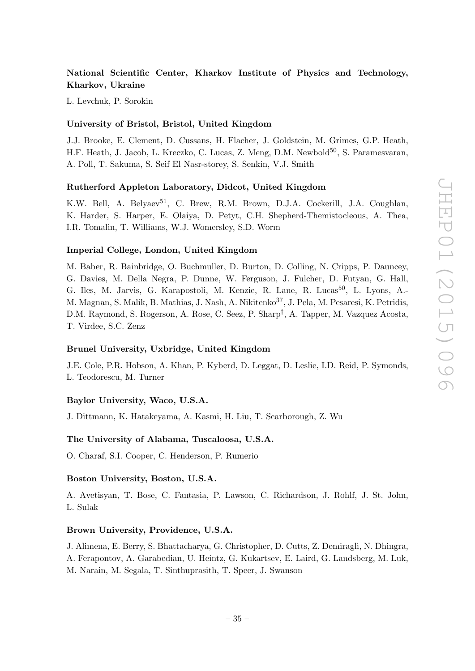# National Scientific Center, Kharkov Institute of Physics and Technology, Kharkov, Ukraine

L. Levchuk, P. Sorokin

### University of Bristol, Bristol, United Kingdom

J.J. Brooke, E. Clement, D. Cussans, H. Flacher, J. Goldstein, M. Grimes, G.P. Heath, H.F. Heath, J. Jacob, L. Kreczko, C. Lucas, Z. Meng, D.M. Newbold<sup>50</sup>, S. Paramesvaran, A. Poll, T. Sakuma, S. Seif El Nasr-storey, S. Senkin, V.J. Smith

### Rutherford Appleton Laboratory, Didcot, United Kingdom

K.W. Bell, A. Belyaev<sup>51</sup>, C. Brew, R.M. Brown, D.J.A. Cockerill, J.A. Coughlan, K. Harder, S. Harper, E. Olaiya, D. Petyt, C.H. Shepherd-Themistocleous, A. Thea, I.R. Tomalin, T. Williams, W.J. Womersley, S.D. Worm

### Imperial College, London, United Kingdom

M. Baber, R. Bainbridge, O. Buchmuller, D. Burton, D. Colling, N. Cripps, P. Dauncey, G. Davies, M. Della Negra, P. Dunne, W. Ferguson, J. Fulcher, D. Futyan, G. Hall, G. Iles, M. Jarvis, G. Karapostoli, M. Kenzie, R. Lane, R. Lucas<sup>50</sup>, L. Lyons, A.-M. Magnan, S. Malik, B. Mathias, J. Nash, A. Nikitenko<sup>37</sup>, J. Pela, M. Pesaresi, K. Petridis, D.M. Raymond, S. Rogerson, A. Rose, C. Seez, P. Sharp† , A. Tapper, M. Vazquez Acosta, T. Virdee, S.C. Zenz

### Brunel University, Uxbridge, United Kingdom

J.E. Cole, P.R. Hobson, A. Khan, P. Kyberd, D. Leggat, D. Leslie, I.D. Reid, P. Symonds, L. Teodorescu, M. Turner

### Baylor University, Waco, U.S.A.

J. Dittmann, K. Hatakeyama, A. Kasmi, H. Liu, T. Scarborough, Z. Wu

### The University of Alabama, Tuscaloosa, U.S.A.

O. Charaf, S.I. Cooper, C. Henderson, P. Rumerio

### Boston University, Boston, U.S.A.

A. Avetisyan, T. Bose, C. Fantasia, P. Lawson, C. Richardson, J. Rohlf, J. St. John, L. Sulak

### Brown University, Providence, U.S.A.

J. Alimena, E. Berry, S. Bhattacharya, G. Christopher, D. Cutts, Z. Demiragli, N. Dhingra, A. Ferapontov, A. Garabedian, U. Heintz, G. Kukartsev, E. Laird, G. Landsberg, M. Luk, M. Narain, M. Segala, T. Sinthuprasith, T. Speer, J. Swanson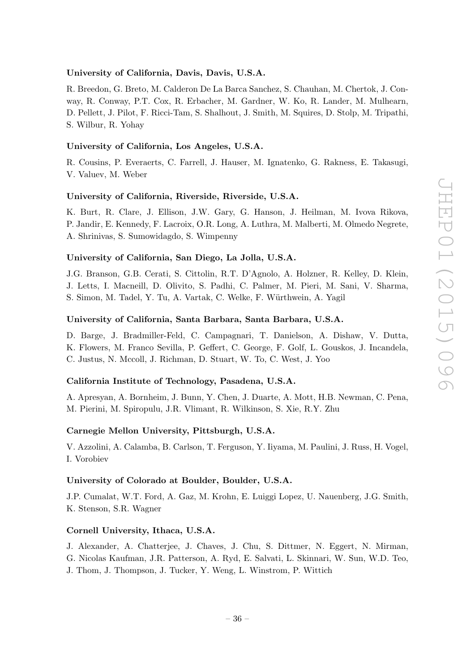### University of California, Davis, Davis, U.S.A.

R. Breedon, G. Breto, M. Calderon De La Barca Sanchez, S. Chauhan, M. Chertok, J. Conway, R. Conway, P.T. Cox, R. Erbacher, M. Gardner, W. Ko, R. Lander, M. Mulhearn, D. Pellett, J. Pilot, F. Ricci-Tam, S. Shalhout, J. Smith, M. Squires, D. Stolp, M. Tripathi, S. Wilbur, R. Yohay

### University of California, Los Angeles, U.S.A.

R. Cousins, P. Everaerts, C. Farrell, J. Hauser, M. Ignatenko, G. Rakness, E. Takasugi, V. Valuev, M. Weber

### University of California, Riverside, Riverside, U.S.A.

K. Burt, R. Clare, J. Ellison, J.W. Gary, G. Hanson, J. Heilman, M. Ivova Rikova, P. Jandir, E. Kennedy, F. Lacroix, O.R. Long, A. Luthra, M. Malberti, M. Olmedo Negrete, A. Shrinivas, S. Sumowidagdo, S. Wimpenny

### University of California, San Diego, La Jolla, U.S.A.

J.G. Branson, G.B. Cerati, S. Cittolin, R.T. D'Agnolo, A. Holzner, R. Kelley, D. Klein, J. Letts, I. Macneill, D. Olivito, S. Padhi, C. Palmer, M. Pieri, M. Sani, V. Sharma, S. Simon, M. Tadel, Y. Tu, A. Vartak, C. Welke, F. Würthwein, A. Yagil

### University of California, Santa Barbara, Santa Barbara, U.S.A.

D. Barge, J. Bradmiller-Feld, C. Campagnari, T. Danielson, A. Dishaw, V. Dutta, K. Flowers, M. Franco Sevilla, P. Geffert, C. George, F. Golf, L. Gouskos, J. Incandela, C. Justus, N. Mccoll, J. Richman, D. Stuart, W. To, C. West, J. Yoo

### California Institute of Technology, Pasadena, U.S.A.

A. Apresyan, A. Bornheim, J. Bunn, Y. Chen, J. Duarte, A. Mott, H.B. Newman, C. Pena, M. Pierini, M. Spiropulu, J.R. Vlimant, R. Wilkinson, S. Xie, R.Y. Zhu

### Carnegie Mellon University, Pittsburgh, U.S.A.

V. Azzolini, A. Calamba, B. Carlson, T. Ferguson, Y. Iiyama, M. Paulini, J. Russ, H. Vogel, I. Vorobiev

### University of Colorado at Boulder, Boulder, U.S.A.

J.P. Cumalat, W.T. Ford, A. Gaz, M. Krohn, E. Luiggi Lopez, U. Nauenberg, J.G. Smith, K. Stenson, S.R. Wagner

### Cornell University, Ithaca, U.S.A.

J. Alexander, A. Chatterjee, J. Chaves, J. Chu, S. Dittmer, N. Eggert, N. Mirman, G. Nicolas Kaufman, J.R. Patterson, A. Ryd, E. Salvati, L. Skinnari, W. Sun, W.D. Teo, J. Thom, J. Thompson, J. Tucker, Y. Weng, L. Winstrom, P. Wittich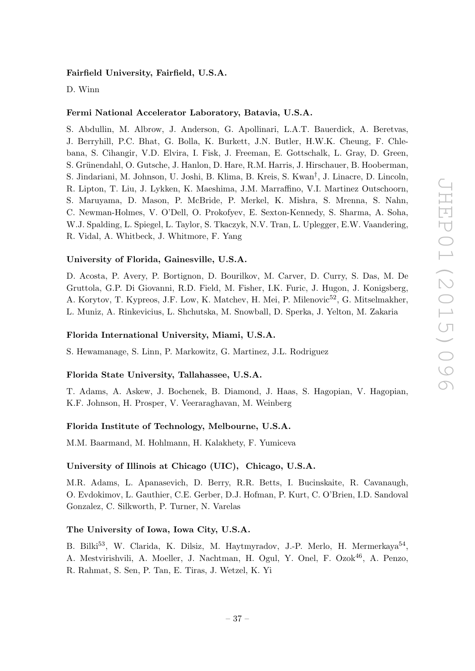### Fairfield University, Fairfield, U.S.A.

D. Winn

### Fermi National Accelerator Laboratory, Batavia, U.S.A.

S. Abdullin, M. Albrow, J. Anderson, G. Apollinari, L.A.T. Bauerdick, A. Beretvas, J. Berryhill, P.C. Bhat, G. Bolla, K. Burkett, J.N. Butler, H.W.K. Cheung, F. Chlebana, S. Cihangir, V.D. Elvira, I. Fisk, J. Freeman, E. Gottschalk, L. Gray, D. Green, S. Grünendahl, O. Gutsche, J. Hanlon, D. Hare, R.M. Harris, J. Hirschauer, B. Hooberman, S. Jindariani, M. Johnson, U. Joshi, B. Klima, B. Kreis, S. Kwan† , J. Linacre, D. Lincoln, R. Lipton, T. Liu, J. Lykken, K. Maeshima, J.M. Marraffino, V.I. Martinez Outschoorn, S. Maruyama, D. Mason, P. McBride, P. Merkel, K. Mishra, S. Mrenna, S. Nahn, C. Newman-Holmes, V. O'Dell, O. Prokofyev, E. Sexton-Kennedy, S. Sharma, A. Soha, W.J. Spalding, L. Spiegel, L. Taylor, S. Tkaczyk, N.V. Tran, L. Uplegger, E.W. Vaandering, R. Vidal, A. Whitbeck, J. Whitmore, F. Yang

### University of Florida, Gainesville, U.S.A.

D. Acosta, P. Avery, P. Bortignon, D. Bourilkov, M. Carver, D. Curry, S. Das, M. De Gruttola, G.P. Di Giovanni, R.D. Field, M. Fisher, I.K. Furic, J. Hugon, J. Konigsberg, A. Korytov, T. Kypreos, J.F. Low, K. Matchev, H. Mei, P. Milenovic<sup>52</sup>, G. Mitselmakher, L. Muniz, A. Rinkevicius, L. Shchutska, M. Snowball, D. Sperka, J. Yelton, M. Zakaria

### Florida International University, Miami, U.S.A.

S. Hewamanage, S. Linn, P. Markowitz, G. Martinez, J.L. Rodriguez

### Florida State University, Tallahassee, U.S.A.

T. Adams, A. Askew, J. Bochenek, B. Diamond, J. Haas, S. Hagopian, V. Hagopian, K.F. Johnson, H. Prosper, V. Veeraraghavan, M. Weinberg

### Florida Institute of Technology, Melbourne, U.S.A.

M.M. Baarmand, M. Hohlmann, H. Kalakhety, F. Yumiceva

### University of Illinois at Chicago (UIC), Chicago, U.S.A.

M.R. Adams, L. Apanasevich, D. Berry, R.R. Betts, I. Bucinskaite, R. Cavanaugh, O. Evdokimov, L. Gauthier, C.E. Gerber, D.J. Hofman, P. Kurt, C. O'Brien, I.D. Sandoval Gonzalez, C. Silkworth, P. Turner, N. Varelas

### The University of Iowa, Iowa City, U.S.A.

B. Bilki<sup>53</sup>, W. Clarida, K. Dilsiz, M. Haytmyradov, J.-P. Merlo, H. Mermerkaya<sup>54</sup>, A. Mestvirishvili, A. Moeller, J. Nachtman, H. Ogul, Y. Onel, F. Ozok<sup>46</sup>, A. Penzo, R. Rahmat, S. Sen, P. Tan, E. Tiras, J. Wetzel, K. Yi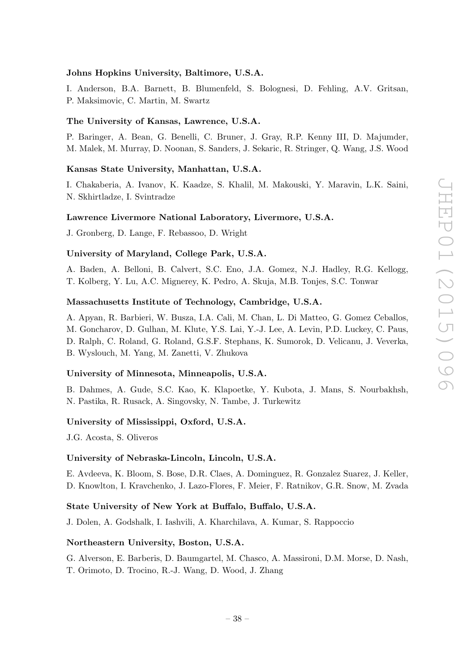### Johns Hopkins University, Baltimore, U.S.A.

I. Anderson, B.A. Barnett, B. Blumenfeld, S. Bolognesi, D. Fehling, A.V. Gritsan, P. Maksimovic, C. Martin, M. Swartz

### The University of Kansas, Lawrence, U.S.A.

P. Baringer, A. Bean, G. Benelli, C. Bruner, J. Gray, R.P. Kenny III, D. Majumder, M. Malek, M. Murray, D. Noonan, S. Sanders, J. Sekaric, R. Stringer, Q. Wang, J.S. Wood

### Kansas State University, Manhattan, U.S.A.

I. Chakaberia, A. Ivanov, K. Kaadze, S. Khalil, M. Makouski, Y. Maravin, L.K. Saini, N. Skhirtladze, I. Svintradze

### Lawrence Livermore National Laboratory, Livermore, U.S.A.

J. Gronberg, D. Lange, F. Rebassoo, D. Wright

### University of Maryland, College Park, U.S.A.

A. Baden, A. Belloni, B. Calvert, S.C. Eno, J.A. Gomez, N.J. Hadley, R.G. Kellogg, T. Kolberg, Y. Lu, A.C. Mignerey, K. Pedro, A. Skuja, M.B. Tonjes, S.C. Tonwar

### Massachusetts Institute of Technology, Cambridge, U.S.A.

A. Apyan, R. Barbieri, W. Busza, I.A. Cali, M. Chan, L. Di Matteo, G. Gomez Ceballos, M. Goncharov, D. Gulhan, M. Klute, Y.S. Lai, Y.-J. Lee, A. Levin, P.D. Luckey, C. Paus, D. Ralph, C. Roland, G. Roland, G.S.F. Stephans, K. Sumorok, D. Velicanu, J. Veverka, B. Wyslouch, M. Yang, M. Zanetti, V. Zhukova

### University of Minnesota, Minneapolis, U.S.A.

B. Dahmes, A. Gude, S.C. Kao, K. Klapoetke, Y. Kubota, J. Mans, S. Nourbakhsh, N. Pastika, R. Rusack, A. Singovsky, N. Tambe, J. Turkewitz

### University of Mississippi, Oxford, U.S.A.

J.G. Acosta, S. Oliveros

### University of Nebraska-Lincoln, Lincoln, U.S.A.

E. Avdeeva, K. Bloom, S. Bose, D.R. Claes, A. Dominguez, R. Gonzalez Suarez, J. Keller, D. Knowlton, I. Kravchenko, J. Lazo-Flores, F. Meier, F. Ratnikov, G.R. Snow, M. Zvada

### State University of New York at Buffalo, Buffalo, U.S.A.

J. Dolen, A. Godshalk, I. Iashvili, A. Kharchilava, A. Kumar, S. Rappoccio

### Northeastern University, Boston, U.S.A.

G. Alverson, E. Barberis, D. Baumgartel, M. Chasco, A. Massironi, D.M. Morse, D. Nash,

T. Orimoto, D. Trocino, R.-J. Wang, D. Wood, J. Zhang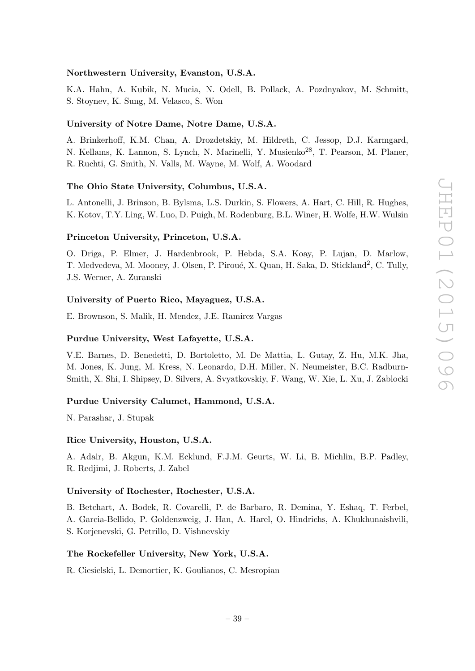### Northwestern University, Evanston, U.S.A.

K.A. Hahn, A. Kubik, N. Mucia, N. Odell, B. Pollack, A. Pozdnyakov, M. Schmitt, S. Stoynev, K. Sung, M. Velasco, S. Won

### University of Notre Dame, Notre Dame, U.S.A.

A. Brinkerhoff, K.M. Chan, A. Drozdetskiy, M. Hildreth, C. Jessop, D.J. Karmgard, N. Kellams, K. Lannon, S. Lynch, N. Marinelli, Y. Musienko<sup>28</sup>, T. Pearson, M. Planer, R. Ruchti, G. Smith, N. Valls, M. Wayne, M. Wolf, A. Woodard

### The Ohio State University, Columbus, U.S.A.

L. Antonelli, J. Brinson, B. Bylsma, L.S. Durkin, S. Flowers, A. Hart, C. Hill, R. Hughes, K. Kotov, T.Y. Ling, W. Luo, D. Puigh, M. Rodenburg, B.L. Winer, H. Wolfe, H.W. Wulsin

### Princeton University, Princeton, U.S.A.

O. Driga, P. Elmer, J. Hardenbrook, P. Hebda, S.A. Koay, P. Lujan, D. Marlow, T. Medvedeva, M. Mooney, J. Olsen, P. Piroué, X. Quan, H. Saka, D. Stickland<sup>2</sup>, C. Tully, J.S. Werner, A. Zuranski

### University of Puerto Rico, Mayaguez, U.S.A.

E. Brownson, S. Malik, H. Mendez, J.E. Ramirez Vargas

### Purdue University, West Lafayette, U.S.A.

V.E. Barnes, D. Benedetti, D. Bortoletto, M. De Mattia, L. Gutay, Z. Hu, M.K. Jha, M. Jones, K. Jung, M. Kress, N. Leonardo, D.H. Miller, N. Neumeister, B.C. Radburn-Smith, X. Shi, I. Shipsey, D. Silvers, A. Svyatkovskiy, F. Wang, W. Xie, L. Xu, J. Zablocki

### Purdue University Calumet, Hammond, U.S.A.

N. Parashar, J. Stupak

### Rice University, Houston, U.S.A.

A. Adair, B. Akgun, K.M. Ecklund, F.J.M. Geurts, W. Li, B. Michlin, B.P. Padley, R. Redjimi, J. Roberts, J. Zabel

### University of Rochester, Rochester, U.S.A.

B. Betchart, A. Bodek, R. Covarelli, P. de Barbaro, R. Demina, Y. Eshaq, T. Ferbel, A. Garcia-Bellido, P. Goldenzweig, J. Han, A. Harel, O. Hindrichs, A. Khukhunaishvili, S. Korjenevski, G. Petrillo, D. Vishnevskiy

### The Rockefeller University, New York, U.S.A.

R. Ciesielski, L. Demortier, K. Goulianos, C. Mesropian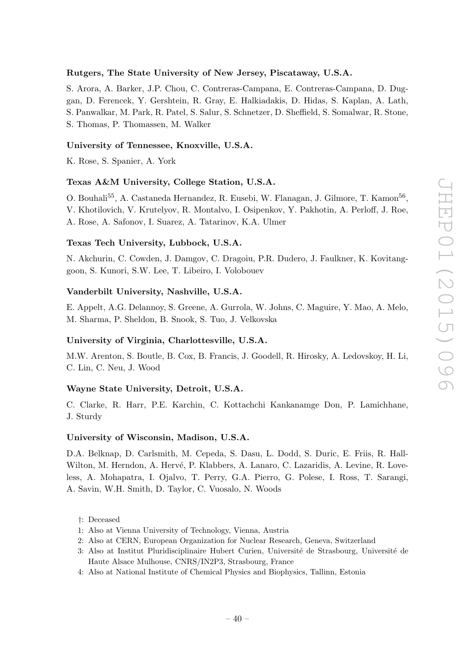### Rutgers, The State University of New Jersey, Piscataway, U.S.A.

S. Arora, A. Barker, J.P. Chou, C. Contreras-Campana, E. Contreras-Campana, D. Duggan, D. Ferencek, Y. Gershtein, R. Gray, E. Halkiadakis, D. Hidas, S. Kaplan, A. Lath, S. Panwalkar, M. Park, R. Patel, S. Salur, S. Schnetzer, D. Sheffield, S. Somalwar, R. Stone, S. Thomas, P. Thomassen, M. Walker

### University of Tennessee, Knoxville, U.S.A.

K. Rose, S. Spanier, A. York

### Texas A&M University, College Station, U.S.A.

O. Bouhali<sup>55</sup>, A. Castaneda Hernandez, R. Eusebi, W. Flanagan, J. Gilmore, T. Kamon<sup>56</sup>, V. Khotilovich, V. Krutelyov, R. Montalvo, I. Osipenkov, Y. Pakhotin, A. Perloff, J. Roe, A. Rose, A. Safonov, I. Suarez, A. Tatarinov, K.A. Ulmer

### Texas Tech University, Lubbock, U.S.A.

N. Akchurin, C. Cowden, J. Damgov, C. Dragoiu, P.R. Dudero, J. Faulkner, K. Kovitanggoon, S. Kunori, S.W. Lee, T. Libeiro, I. Volobouev

### Vanderbilt University, Nashville, U.S.A.

E. Appelt, A.G. Delannoy, S. Greene, A. Gurrola, W. Johns, C. Maguire, Y. Mao, A. Melo, M. Sharma, P. Sheldon, B. Snook, S. Tuo, J. Velkovska

### University of Virginia, Charlottesville, U.S.A.

M.W. Arenton, S. Boutle, B. Cox, B. Francis, J. Goodell, R. Hirosky, A. Ledovskoy, H. Li, C. Lin, C. Neu, J. Wood

### Wayne State University, Detroit, U.S.A.

C. Clarke, R. Harr, P.E. Karchin, C. Kottachchi Kankanamge Don, P. Lamichhane, J. Sturdy

### University of Wisconsin, Madison, U.S.A.

D.A. Belknap, D. Carlsmith, M. Cepeda, S. Dasu, L. Dodd, S. Duric, E. Friis, R. Hall-Wilton, M. Herndon, A. Hervé, P. Klabbers, A. Lanaro, C. Lazaridis, A. Levine, R. Loveless, A. Mohapatra, I. Ojalvo, T. Perry, G.A. Pierro, G. Polese, I. Ross, T. Sarangi, A. Savin, W.H. Smith, D. Taylor, C. Vuosalo, N. Woods

- †: Deceased
- 1: Also at Vienna University of Technology, Vienna, Austria
- 2: Also at CERN, European Organization for Nuclear Research, Geneva, Switzerland
- 3: Also at Institut Pluridisciplinaire Hubert Curien, Université de Strasbourg, Université de Haute Alsace Mulhouse, CNRS/IN2P3, Strasbourg, France
- 4: Also at National Institute of Chemical Physics and Biophysics, Tallinn, Estonia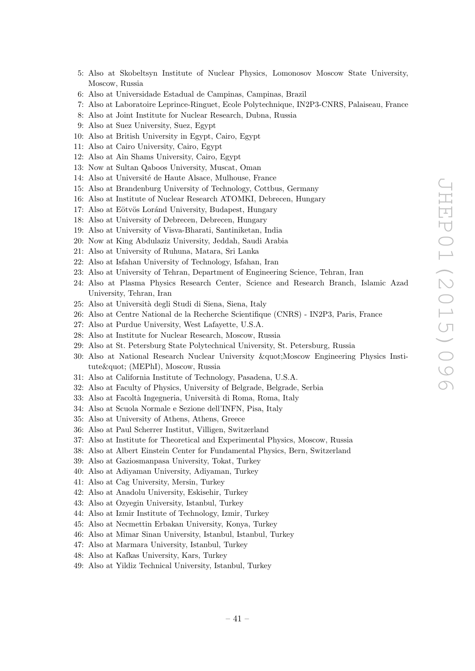- 5: Also at Skobeltsyn Institute of Nuclear Physics, Lomonosov Moscow State University, Moscow, Russia
- 6: Also at Universidade Estadual de Campinas, Campinas, Brazil
- 7: Also at Laboratoire Leprince-Ringuet, Ecole Polytechnique, IN2P3-CNRS, Palaiseau, France
- 8: Also at Joint Institute for Nuclear Research, Dubna, Russia
- 9: Also at Suez University, Suez, Egypt
- 10: Also at British University in Egypt, Cairo, Egypt
- 11: Also at Cairo University, Cairo, Egypt
- 12: Also at Ain Shams University, Cairo, Egypt
- 13: Now at Sultan Qaboos University, Muscat, Oman
- 14: Also at Université de Haute Alsace, Mulhouse, France
- 15: Also at Brandenburg University of Technology, Cottbus, Germany
- 16: Also at Institute of Nuclear Research ATOMKI, Debrecen, Hungary
- 17: Also at Eötvös Loránd University, Budapest, Hungary
- 18: Also at University of Debrecen, Debrecen, Hungary
- 19: Also at University of Visva-Bharati, Santiniketan, India
- 20: Now at King Abdulaziz University, Jeddah, Saudi Arabia
- 21: Also at University of Ruhuna, Matara, Sri Lanka
- 22: Also at Isfahan University of Technology, Isfahan, Iran
- 23: Also at University of Tehran, Department of Engineering Science, Tehran, Iran
- 24: Also at Plasma Physics Research Center, Science and Research Branch, Islamic Azad University, Tehran, Iran
- 25: Also at Universit`a degli Studi di Siena, Siena, Italy
- 26: Also at Centre National de la Recherche Scientifique (CNRS) IN2P3, Paris, France
- 27: Also at Purdue University, West Lafayette, U.S.A.
- 28: Also at Institute for Nuclear Research, Moscow, Russia
- 29: Also at St. Petersburg State Polytechnical University, St. Petersburg, Russia
- 30: Also at National Research Nuclear University " Moscow Engineering Physics Institute & quot; (MEPhI), Moscow, Russia
- 31: Also at California Institute of Technology, Pasadena, U.S.A.
- 32: Also at Faculty of Physics, University of Belgrade, Belgrade, Serbia
- 33: Also at Facoltà Ingegneria, Università di Roma, Roma, Italy
- 34: Also at Scuola Normale e Sezione dell'INFN, Pisa, Italy
- 35: Also at University of Athens, Athens, Greece
- 36: Also at Paul Scherrer Institut, Villigen, Switzerland
- 37: Also at Institute for Theoretical and Experimental Physics, Moscow, Russia
- 38: Also at Albert Einstein Center for Fundamental Physics, Bern, Switzerland
- 39: Also at Gaziosmanpasa University, Tokat, Turkey
- 40: Also at Adiyaman University, Adiyaman, Turkey
- 41: Also at Cag University, Mersin, Turkey
- 42: Also at Anadolu University, Eskisehir, Turkey
- 43: Also at Ozyegin University, Istanbul, Turkey
- 44: Also at Izmir Institute of Technology, Izmir, Turkey
- 45: Also at Necmettin Erbakan University, Konya, Turkey
- 46: Also at Mimar Sinan University, Istanbul, Istanbul, Turkey
- 47: Also at Marmara University, Istanbul, Turkey
- 48: Also at Kafkas University, Kars, Turkey
- 49: Also at Yildiz Technical University, Istanbul, Turkey